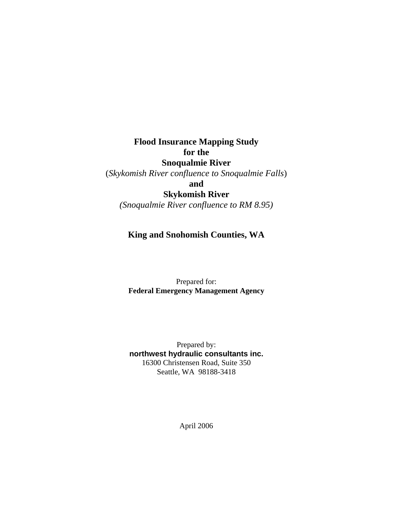**Flood Insurance Mapping Study for the Snoqualmie River** 

(*Skykomish River confluence to Snoqualmie Falls*)

**and** 

**Skykomish River** 

*(Snoqualmie River confluence to RM 8.95)* 

# **King and Snohomish Counties, WA**

 Prepared for:  **Federal Emergency Management Agency** 

 Prepared by: **northwest hydraulic consultants inc.**  16300 Christensen Road, Suite 350 Seattle, WA 98188-3418

April 2006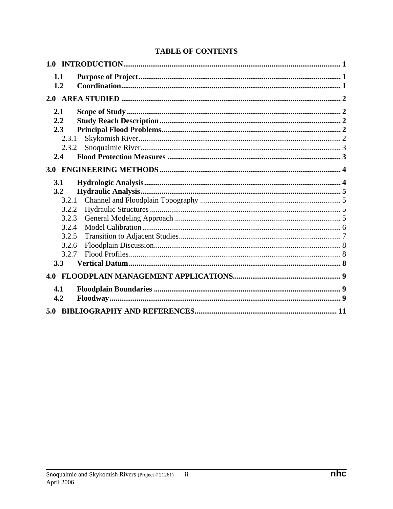| 1.1   |  |
|-------|--|
| 1.2   |  |
|       |  |
| 2.1   |  |
| 2.2   |  |
| 2.3   |  |
| 2.3.1 |  |
| 2.3.2 |  |
| 2.4   |  |
|       |  |
| 3.1   |  |
| 3.2   |  |
| 3.2.1 |  |
| 3.2.2 |  |
| 3.2.3 |  |
| 3.2.4 |  |
| 3.2.5 |  |
| 3.2.6 |  |
| 3.2.7 |  |
| 3.3   |  |
|       |  |
| 4.1   |  |
| 4.2   |  |
|       |  |
|       |  |

# **TABLE OF CONTENTS**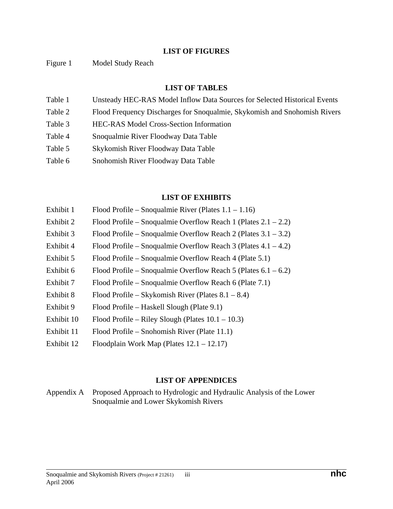#### **LIST OF FIGURES**

Figure 1 Model Study Reach

#### **LIST OF TABLES**

- Table 1 Unsteady HEC-RAS Model Inflow Data Sources for Selected Historical Events
- Table 2 Flood Frequency Discharges for Snoqualmie, Skykomish and Snohomish Rivers
- Table 3 HEC-RAS Model Cross-Section Information
- Table 4 Snoqualmie River Floodway Data Table
- Table 5 Skykomish River Floodway Data Table
- Table 6 Snohomish River Floodway Data Table

#### **LIST OF EXHIBITS**

- Exhibit 1 Flood Profile Snoqualmie River (Plates 1.1 1.16)
- Exhibit 2 Flood Profile Snoqualmie Overflow Reach 1 (Plates  $2.1 2.2$ )
- Exhibit 3 Flood Profile Snoqualmie Overflow Reach 2 (Plates  $3.1 3.2$ )
- Exhibit 4 Flood Profile Snoqualmie Overflow Reach 3 (Plates 4.1 4.2)
- Exhibit 5 Flood Profile Snoqualmie Overflow Reach 4 (Plate 5.1)
- Exhibit 6 Flood Profile Snoqualmie Overflow Reach 5 (Plates  $6.1 6.2$ )
- Exhibit 7 Flood Profile Snoqualmie Overflow Reach 6 (Plate 7.1)
- Exhibit 8 Flood Profile Skykomish River (Plates  $8.1 8.4$ )
- Exhibit 9 Flood Profile Haskell Slough (Plate 9.1)
- Exhibit 10 Flood Profile Riley Slough (Plates  $10.1 10.3$ )
- Exhibit 11 Flood Profile Snohomish River (Plate 11.1)
- Exhibit 12 Floodplain Work Map (Plates 12.1 12.17)

#### **LIST OF APPENDICES**

Appendix A Proposed Approach to Hydrologic and Hydraulic Analysis of the Lower Snoqualmie and Lower Skykomish Rivers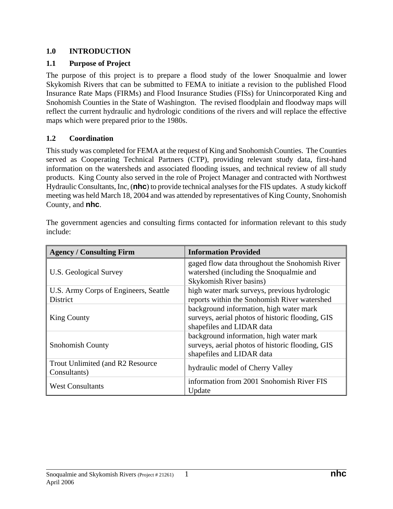### **1.0 INTRODUCTION**

### **1.1 Purpose of Project**

The purpose of this project is to prepare a flood study of the lower Snoqualmie and lower Skykomish Rivers that can be submitted to FEMA to initiate a revision to the published Flood Insurance Rate Maps (FIRMs) and Flood Insurance Studies (FISs) for Unincorporated King and Snohomish Counties in the State of Washington. The revised floodplain and floodway maps will reflect the current hydraulic and hydrologic conditions of the rivers and will replace the effective maps which were prepared prior to the 1980s.

### **1.2 Coordination**

This study was completed for FEMA at the request of King and Snohomish Counties. The Counties served as Cooperating Technical Partners (CTP), providing relevant study data, first-hand information on the watersheds and associated flooding issues, and technical review of all study products. King County also served in the role of Project Manager and contracted with Northwest Hydraulic Consultants, Inc, (**nhc**) to provide technical analyses for the FIS updates. A study kickoff meeting was held March 18, 2004 and was attended by representatives of King County, Snohomish County, and **nhc**.

| <b>Agency / Consulting Firm</b>                          | <b>Information Provided</b>                                                                                              |
|----------------------------------------------------------|--------------------------------------------------------------------------------------------------------------------------|
| U.S. Geological Survey                                   | gaged flow data throughout the Snohomish River<br>watershed (including the Snoqualmie and<br>Skykomish River basins)     |
| U.S. Army Corps of Engineers, Seattle<br><b>District</b> | high water mark surveys, previous hydrologic<br>reports within the Snohomish River watershed                             |
| <b>King County</b>                                       | background information, high water mark<br>surveys, aerial photos of historic flooding, GIS<br>shapefiles and LIDAR data |
| <b>Snohomish County</b>                                  | background information, high water mark<br>surveys, aerial photos of historic flooding, GIS<br>shapefiles and LIDAR data |
| Trout Unlimited (and R2 Resource)<br>Consultants)        | hydraulic model of Cherry Valley                                                                                         |
| <b>West Consultants</b>                                  | information from 2001 Snohomish River FIS<br>Update                                                                      |

The government agencies and consulting firms contacted for information relevant to this study include: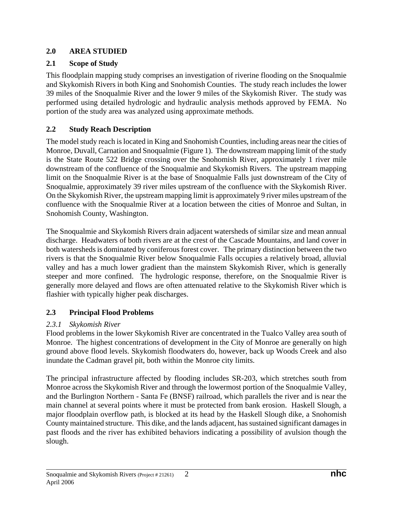# **2.0 AREA STUDIED**

# **2.1 Scope of Study**

This floodplain mapping study comprises an investigation of riverine flooding on the Snoqualmie and Skykomish Rivers in both King and Snohomish Counties. The study reach includes the lower 39 miles of the Snoqualmie River and the lower 9 miles of the Skykomish River. The study was performed using detailed hydrologic and hydraulic analysis methods approved by FEMA. No portion of the study area was analyzed using approximate methods.

# **2.2 Study Reach Description**

The model study reach is located in King and Snohomish Counties, including areas near the cities of Monroe, Duvall, Carnation and Snoqualmie (Figure 1). The downstream mapping limit of the study is the State Route 522 Bridge crossing over the Snohomish River, approximately 1 river mile downstream of the confluence of the Snoqualmie and Skykomish Rivers. The upstream mapping limit on the Snoqualmie River is at the base of Snoqualmie Falls just downstream of the City of Snoqualmie, approximately 39 river miles upstream of the confluence with the Skykomish River. On the Skykomish River, the upstream mapping limit is approximately 9 river miles upstream of the confluence with the Snoqualmie River at a location between the cities of Monroe and Sultan, in Snohomish County, Washington.

The Snoqualmie and Skykomish Rivers drain adjacent watersheds of similar size and mean annual discharge. Headwaters of both rivers are at the crest of the Cascade Mountains, and land cover in both watersheds is dominated by coniferous forest cover. The primary distinction between the two rivers is that the Snoqualmie River below Snoqualmie Falls occupies a relatively broad, alluvial valley and has a much lower gradient than the mainstem Skykomish River, which is generally steeper and more confined. The hydrologic response, therefore, on the Snoqualmie River is generally more delayed and flows are often attenuated relative to the Skykomish River which is flashier with typically higher peak discharges.

# **2.3 Principal Flood Problems**

# *2.3.1 Skykomish River*

Flood problems in the lower Skykomish River are concentrated in the Tualco Valley area south of Monroe. The highest concentrations of development in the City of Monroe are generally on high ground above flood levels. Skykomish floodwaters do, however, back up Woods Creek and also inundate the Cadman gravel pit, both within the Monroe city limits.

The principal infrastructure affected by flooding includes SR-203, which stretches south from Monroe across the Skykomish River and through the lowermost portion of the Snoqualmie Valley, and the Burlington Northern - Santa Fe (BNSF) railroad, which parallels the river and is near the main channel at several points where it must be protected from bank erosion. Haskell Slough, a major floodplain overflow path, is blocked at its head by the Haskell Slough dike, a Snohomish County maintained structure. This dike, and the lands adjacent, has sustained significant damages in past floods and the river has exhibited behaviors indicating a possibility of avulsion though the slough.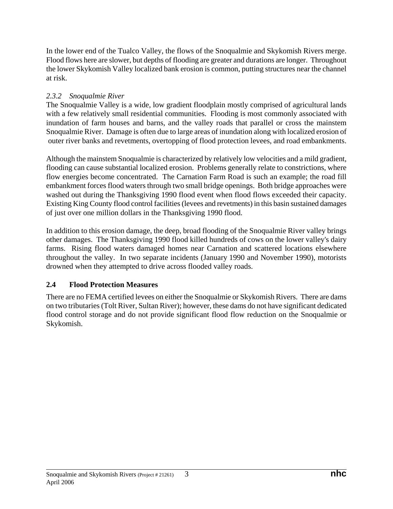In the lower end of the Tualco Valley, the flows of the Snoqualmie and Skykomish Rivers merge. Flood flows here are slower, but depths of flooding are greater and durations are longer. Throughout the lower Skykomish Valley localized bank erosion is common, putting structures near the channel at risk.

## *2.3.2 Snoqualmie River*

The Snoqualmie Valley is a wide, low gradient floodplain mostly comprised of agricultural lands with a few relatively small residential communities. Flooding is most commonly associated with inundation of farm houses and barns, and the valley roads that parallel or cross the mainstem Snoqualmie River. Damage is often due to large areas of inundation along with localized erosion of outer river banks and revetments, overtopping of flood protection levees, and road embankments.

Although the mainstem Snoqualmie is characterized by relatively low velocities and a mild gradient, flooding can cause substantial localized erosion. Problems generally relate to constrictions, where flow energies become concentrated. The Carnation Farm Road is such an example; the road fill embankment forces flood waters through two small bridge openings. Both bridge approaches were washed out during the Thanksgiving 1990 flood event when flood flows exceeded their capacity. Existing King County flood control facilities (levees and revetments) in this basin sustained damages of just over one million dollars in the Thanksgiving 1990 flood.

In addition to this erosion damage, the deep, broad flooding of the Snoqualmie River valley brings other damages. The Thanksgiving 1990 flood killed hundreds of cows on the lower valley's dairy farms. Rising flood waters damaged homes near Carnation and scattered locations elsewhere throughout the valley. In two separate incidents (January 1990 and November 1990), motorists drowned when they attempted to drive across flooded valley roads.

# **2.4 Flood Protection Measures**

There are no FEMA certified levees on either the Snoqualmie or Skykomish Rivers. There are dams on two tributaries (Tolt River, Sultan River); however, these dams do not have significant dedicated flood control storage and do not provide significant flood flow reduction on the Snoqualmie or Skykomish.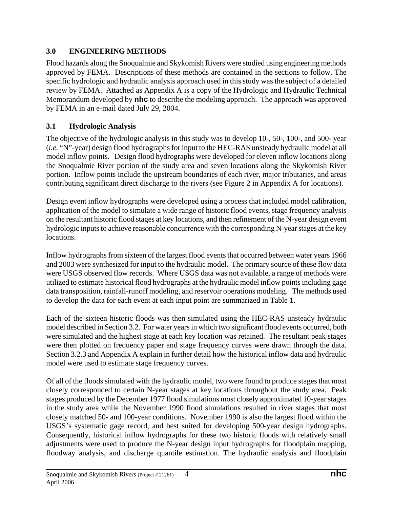# **3.0 ENGINEERING METHODS**

Flood hazards along the Snoqualmie and Skykomish Rivers were studied using engineering methods approved by FEMA. Descriptions of these methods are contained in the sections to follow. The specific hydrologic and hydraulic analysis approach used in this study was the subject of a detailed review by FEMA. Attached as Appendix A is a copy of the Hydrologic and Hydraulic Technical Memorandum developed by **nhc** to describe the modeling approach. The approach was approved by FEMA in an e-mail dated July 29, 2004.

# **3.1 Hydrologic Analysis**

The objective of the hydrologic analysis in this study was to develop 10-, 50-, 100-, and 500- year (*i.e.* "N"-year) design flood hydrographs for input to the HEC-RAS unsteady hydraulic model at all model inflow points. Design flood hydrographs were developed for eleven inflow locations along the Snoqualmie River portion of the study area and seven locations along the Skykomish River portion. Inflow points include the upstream boundaries of each river, major tributaries, and areas contributing significant direct discharge to the rivers (see Figure 2 in Appendix A for locations).

Design event inflow hydrographs were developed using a process that included model calibration, application of the model to simulate a wide range of historic flood events, stage frequency analysis on the resultant historic flood stages at key locations, and then refinement of the N-year design event hydrologic inputs to achieve reasonable concurrence with the corresponding N-year stages at the key locations.

Inflow hydrographs from sixteen of the largest flood events that occurred between water years 1966 and 2003 were synthesized for input to the hydraulic model. The primary source of these flow data were USGS observed flow records. Where USGS data was not available, a range of methods were utilized to estimate historical flood hydrographs at the hydraulic model inflow points including gage data transposition, rainfall-runoff modeling, and reservoir operations modeling. The methods used to develop the data for each event at each input point are summarized in Table 1.

Each of the sixteen historic floods was then simulated using the HEC-RAS unsteady hydraulic model described in Section 3.2. For water years in which two significant flood events occurred, both were simulated and the highest stage at each key location was retained. The resultant peak stages were then plotted on frequency paper and stage frequency curves were drawn through the data. Section 3.2.3 and Appendix A explain in further detail how the historical inflow data and hydraulic model were used to estimate stage frequency curves.

Of all of the floods simulated with the hydraulic model, two were found to produce stages that most closely corresponded to certain N-year stages at key locations throughout the study area. Peak stages produced by the December 1977 flood simulations most closely approximated 10-year stages in the study area while the November 1990 flood simulations resulted in river stages that most closely matched 50- and 100-year conditions. November 1990 is also the largest flood within the USGS's systematic gage record, and best suited for developing 500-year design hydrographs. Consequently, historical inflow hydrographs for these two historic floods with relatively small adjustments were used to produce the N-year design input hydrographs for floodplain mapping, floodway analysis, and discharge quantile estimation. The hydraulic analysis and floodplain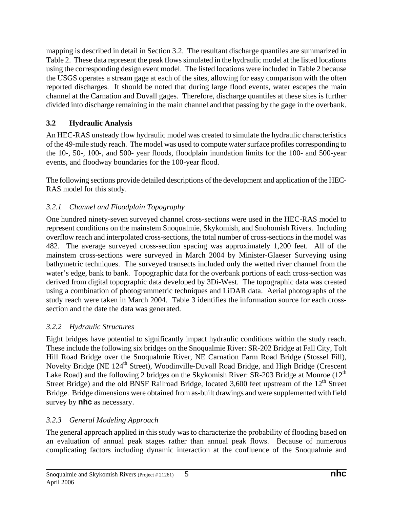mapping is described in detail in Section 3.2. The resultant discharge quantiles are summarized in Table 2. These data represent the peak flows simulated in the hydraulic model at the listed locations using the corresponding design event model. The listed locations were included in Table 2 because the USGS operates a stream gage at each of the sites, allowing for easy comparison with the often reported discharges. It should be noted that during large flood events, water escapes the main channel at the Carnation and Duvall gages. Therefore, discharge quantiles at these sites is further divided into discharge remaining in the main channel and that passing by the gage in the overbank.

# **3.2 Hydraulic Analysis**

An HEC-RAS unsteady flow hydraulic model was created to simulate the hydraulic characteristics of the 49-mile study reach. The model was used to compute water surface profiles corresponding to the 10-, 50-, 100-, and 500- year floods, floodplain inundation limits for the 100- and 500-year events, and floodway boundaries for the 100-year flood.

The following sections provide detailed descriptions of the development and application of the HEC-RAS model for this study.

# *3.2.1 Channel and Floodplain Topography*

One hundred ninety-seven surveyed channel cross-sections were used in the HEC-RAS model to represent conditions on the mainstem Snoqualmie, Skykomish, and Snohomish Rivers. Including overflow reach and interpolated cross-sections, the total number of cross-sections in the model was 482. The average surveyed cross-section spacing was approximately 1,200 feet. All of the mainstem cross-sections were surveyed in March 2004 by Minister-Glaeser Surveying using bathymetric techniques. The surveyed transects included only the wetted river channel from the water's edge, bank to bank. Topographic data for the overbank portions of each cross-section was derived from digital topographic data developed by 3Di-West. The topographic data was created using a combination of photogrammetric techniques and LiDAR data. Aerial photographs of the study reach were taken in March 2004. Table 3 identifies the information source for each crosssection and the date the data was generated.

# *3.2.2 Hydraulic Structures*

Eight bridges have potential to significantly impact hydraulic conditions within the study reach. These include the following six bridges on the Snoqualmie River: SR-202 Bridge at Fall City, Tolt Hill Road Bridge over the Snoqualmie River, NE Carnation Farm Road Bridge (Stossel Fill), Novelty Bridge (NE 124<sup>th</sup> Street), Woodinville-Duvall Road Bridge, and High Bridge (Crescent Lake Road) and the following 2 bridges on the Skykomish River:  $SR-203$  Bridge at Monroe ( $12<sup>th</sup>$ Street Bridge) and the old BNSF Railroad Bridge, located 3,600 feet upstream of the 12<sup>th</sup> Street Bridge. Bridge dimensions were obtained from as-built drawings and were supplemented with field survey by **nhc** as necessary.

# *3.2.3 General Modeling Approach*

The general approach applied in this study was to characterize the probability of flooding based on an evaluation of annual peak stages rather than annual peak flows. Because of numerous complicating factors including dynamic interaction at the confluence of the Snoqualmie and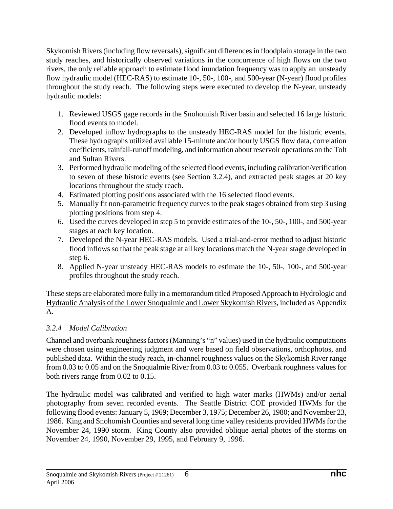Skykomish Rivers (including flow reversals), significant differences in floodplain storage in the two study reaches, and historically observed variations in the concurrence of high flows on the two rivers, the only reliable approach to estimate flood inundation frequency was to apply an unsteady flow hydraulic model (HEC-RAS) to estimate 10-, 50-, 100-, and 500-year (N-year) flood profiles throughout the study reach. The following steps were executed to develop the N-year, unsteady hydraulic models:

- 1. Reviewed USGS gage records in the Snohomish River basin and selected 16 large historic flood events to model.
- 2. Developed inflow hydrographs to the unsteady HEC-RAS model for the historic events. These hydrographs utilized available 15-minute and/or hourly USGS flow data, correlation coefficients, rainfall-runoff modeling, and information about reservoir operations on the Tolt and Sultan Rivers.
- 3. Performed hydraulic modeling of the selected flood events, including calibration/verification to seven of these historic events (see Section 3.2.4), and extracted peak stages at 20 key locations throughout the study reach.
- 4. Estimated plotting positions associated with the 16 selected flood events.
- 5. Manually fit non-parametric frequency curves to the peak stages obtained from step 3 using plotting positions from step 4.
- 6. Used the curves developed in step 5 to provide estimates of the 10-, 50-, 100-, and 500-year stages at each key location.
- 7. Developed the N-year HEC-RAS models. Used a trial-and-error method to adjust historic flood inflows so that the peak stage at all key locations match the N-year stage developed in step 6.
- 8. Applied N-year unsteady HEC-RAS models to estimate the 10-, 50-, 100-, and 500-year profiles throughout the study reach.

These steps are elaborated more fully in a memorandum titled Proposed Approach to Hydrologic and Hydraulic Analysis of the Lower Snoqualmie and Lower Skykomish Rivers, included as Appendix A.

# *3.2.4 Model Calibration*

Channel and overbank roughness factors (Manning's "n" values) used in the hydraulic computations were chosen using engineering judgment and were based on field observations, orthophotos, and published data. Within the study reach, in-channel roughness values on the Skykomish River range from 0.03 to 0.05 and on the Snoqualmie River from 0.03 to 0.055. Overbank roughness values for both rivers range from 0.02 to 0.15.

The hydraulic model was calibrated and verified to high water marks (HWMs) and/or aerial photography from seven recorded events. The Seattle District COE provided HWMs for the following flood events: January 5, 1969; December 3, 1975; December 26, 1980; and November 23, 1986. King and Snohomish Counties and several long time valley residents provided HWMs for the November 24, 1990 storm. King County also provided oblique aerial photos of the storms on November 24, 1990, November 29, 1995, and February 9, 1996.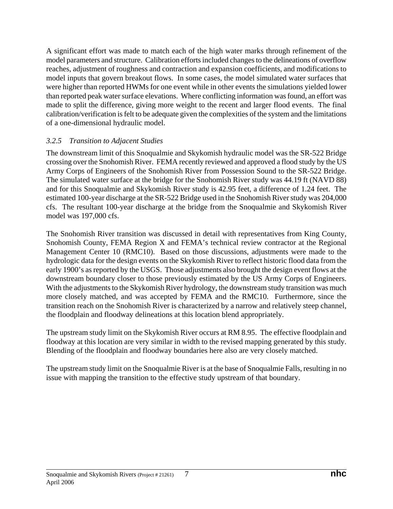A significant effort was made to match each of the high water marks through refinement of the model parameters and structure. Calibration efforts included changes to the delineations of overflow reaches, adjustment of roughness and contraction and expansion coefficients, and modifications to model inputs that govern breakout flows. In some cases, the model simulated water surfaces that were higher than reported HWMs for one event while in other events the simulations yielded lower than reported peak water surface elevations. Where conflicting information was found, an effort was made to split the difference, giving more weight to the recent and larger flood events. The final calibration/verification is felt to be adequate given the complexities of the system and the limitations of a one-dimensional hydraulic model.

### *3.2.5 Transition to Adjacent Studies*

The downstream limit of this Snoqualmie and Skykomish hydraulic model was the SR-522 Bridge crossing over the Snohomish River. FEMA recently reviewed and approved a flood study by the US Army Corps of Engineers of the Snohomish River from Possession Sound to the SR-522 Bridge. The simulated water surface at the bridge for the Snohomish River study was 44.19 ft (NAVD 88) and for this Snoqualmie and Skykomish River study is 42.95 feet, a difference of 1.24 feet. The estimated 100-year discharge at the SR-522 Bridge used in the Snohomish River study was 204,000 cfs. The resultant 100-year discharge at the bridge from the Snoqualmie and Skykomish River model was 197,000 cfs.

The Snohomish River transition was discussed in detail with representatives from King County, Snohomish County, FEMA Region X and FEMA's technical review contractor at the Regional Management Center 10 (RMC10). Based on those discussions, adjustments were made to the hydrologic data for the design events on the Skykomish River to reflect historic flood data from the early 1900's as reported by the USGS. Those adjustments also brought the design event flows at the downstream boundary closer to those previously estimated by the US Army Corps of Engineers. With the adjustments to the Skykomish River hydrology, the downstream study transition was much more closely matched, and was accepted by FEMA and the RMC10. Furthermore, since the transition reach on the Snohomish River is characterized by a narrow and relatively steep channel, the floodplain and floodway delineations at this location blend appropriately.

The upstream study limit on the Skykomish River occurs at RM 8.95. The effective floodplain and floodway at this location are very similar in width to the revised mapping generated by this study. Blending of the floodplain and floodway boundaries here also are very closely matched.

The upstream study limit on the Snoqualmie River is at the base of Snoqualmie Falls, resulting in no issue with mapping the transition to the effective study upstream of that boundary.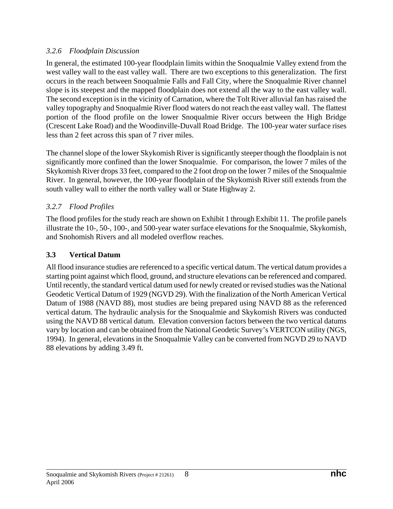### *3.2.6 Floodplain Discussion*

In general, the estimated 100-year floodplain limits within the Snoqualmie Valley extend from the west valley wall to the east valley wall. There are two exceptions to this generalization. The first occurs in the reach between Snoqualmie Falls and Fall City, where the Snoqualmie River channel slope is its steepest and the mapped floodplain does not extend all the way to the east valley wall. The second exception is in the vicinity of Carnation, where the Tolt River alluvial fan has raised the valley topography and Snoqualmie River flood waters do not reach the east valley wall. The flattest portion of the flood profile on the lower Snoqualmie River occurs between the High Bridge (Crescent Lake Road) and the Woodinville-Duvall Road Bridge. The 100-year water surface rises less than 2 feet across this span of 7 river miles.

The channel slope of the lower Skykomish River is significantly steeper though the floodplain is not significantly more confined than the lower Snoqualmie. For comparison, the lower 7 miles of the Skykomish River drops 33 feet, compared to the 2 foot drop on the lower 7 miles of the Snoqualmie River. In general, however, the 100-year floodplain of the Skykomish River still extends from the south valley wall to either the north valley wall or State Highway 2.

# *3.2.7 Flood Profiles*

The flood profiles for the study reach are shown on Exhibit 1 through Exhibit 11. The profile panels illustrate the 10-, 50-, 100-, and 500-year water surface elevations for the Snoqualmie, Skykomish, and Snohomish Rivers and all modeled overflow reaches.

# **3.3 Vertical Datum**

All flood insurance studies are referenced to a specific vertical datum. The vertical datum provides a starting point against which flood, ground, and structure elevations can be referenced and compared. Until recently, the standard vertical datum used for newly created or revised studies was the National Geodetic Vertical Datum of 1929 (NGVD 29). With the finalization of the North American Vertical Datum of 1988 (NAVD 88), most studies are being prepared using NAVD 88 as the referenced vertical datum. The hydraulic analysis for the Snoqualmie and Skykomish Rivers was conducted using the NAVD 88 vertical datum. Elevation conversion factors between the two vertical datums vary by location and can be obtained from the National Geodetic Survey's VERTCON utility (NGS, 1994). In general, elevations in the Snoqualmie Valley can be converted from NGVD 29 to NAVD 88 elevations by adding 3.49 ft.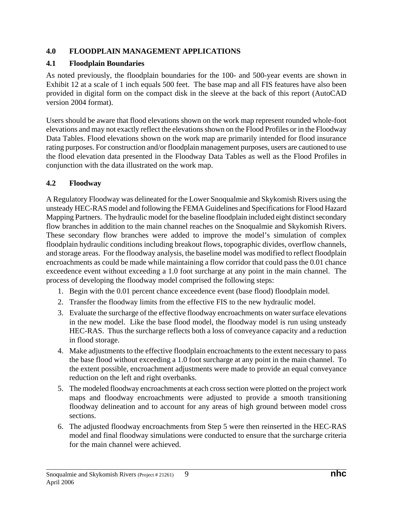### **4.0 FLOODPLAIN MANAGEMENT APPLICATIONS**

### **4.1 Floodplain Boundaries**

As noted previously, the floodplain boundaries for the 100- and 500-year events are shown in Exhibit 12 at a scale of 1 inch equals 500 feet. The base map and all FIS features have also been provided in digital form on the compact disk in the sleeve at the back of this report (AutoCAD version 2004 format).

Users should be aware that flood elevations shown on the work map represent rounded whole-foot elevations and may not exactly reflect the elevations shown on the Flood Profiles or in the Floodway Data Tables. Flood elevations shown on the work map are primarily intended for flood insurance rating purposes. For construction and/or floodplain management purposes, users are cautioned to use the flood elevation data presented in the Floodway Data Tables as well as the Flood Profiles in conjunction with the data illustrated on the work map.

### **4.2 Floodway**

A Regulatory Floodway was delineated for the Lower Snoqualmie and Skykomish Rivers using the unsteady HEC-RAS model and following the FEMA Guidelines and Specifications for Flood Hazard Mapping Partners. The hydraulic model for the baseline floodplain included eight distinct secondary flow branches in addition to the main channel reaches on the Snoqualmie and Skykomish Rivers. These secondary flow branches were added to improve the model's simulation of complex floodplain hydraulic conditions including breakout flows, topographic divides, overflow channels, and storage areas. For the floodway analysis, the baseline model was modified to reflect floodplain encroachments as could be made while maintaining a flow corridor that could pass the 0.01 chance exceedence event without exceeding a 1.0 foot surcharge at any point in the main channel. The process of developing the floodway model comprised the following steps:

- 1. Begin with the 0.01 percent chance exceedence event (base flood) floodplain model.
- 2. Transfer the floodway limits from the effective FIS to the new hydraulic model.
- 3. Evaluate the surcharge of the effective floodway encroachments on water surface elevations in the new model. Like the base flood model, the floodway model is run using unsteady HEC-RAS. Thus the surcharge reflects both a loss of conveyance capacity and a reduction in flood storage.
- 4. Make adjustments to the effective floodplain encroachments to the extent necessary to pass the base flood without exceeding a 1.0 foot surcharge at any point in the main channel. To the extent possible, encroachment adjustments were made to provide an equal conveyance reduction on the left and right overbanks.
- 5. The modeled floodway encroachments at each cross section were plotted on the project work maps and floodway encroachments were adjusted to provide a smooth transitioning floodway delineation and to account for any areas of high ground between model cross sections.
- 6. The adjusted floodway encroachments from Step 5 were then reinserted in the HEC-RAS model and final floodway simulations were conducted to ensure that the surcharge criteria for the main channel were achieved.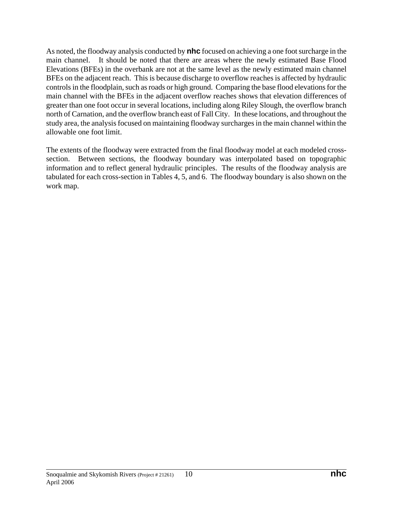As noted, the floodway analysis conducted by **nhc** focused on achieving a one foot surcharge in the main channel. It should be noted that there are areas where the newly estimated Base Flood Elevations (BFEs) in the overbank are not at the same level as the newly estimated main channel BFEs on the adjacent reach. This is because discharge to overflow reaches is affected by hydraulic controls in the floodplain, such as roads or high ground. Comparing the base flood elevations for the main channel with the BFEs in the adjacent overflow reaches shows that elevation differences of greater than one foot occur in several locations, including along Riley Slough, the overflow branch north of Carnation, and the overflow branch east of Fall City. In these locations, and throughout the study area, the analysis focused on maintaining floodway surcharges in the main channel within the allowable one foot limit.

The extents of the floodway were extracted from the final floodway model at each modeled crosssection. Between sections, the floodway boundary was interpolated based on topographic information and to reflect general hydraulic principles. The results of the floodway analysis are tabulated for each cross-section in Tables 4, 5, and 6. The floodway boundary is also shown on the work map.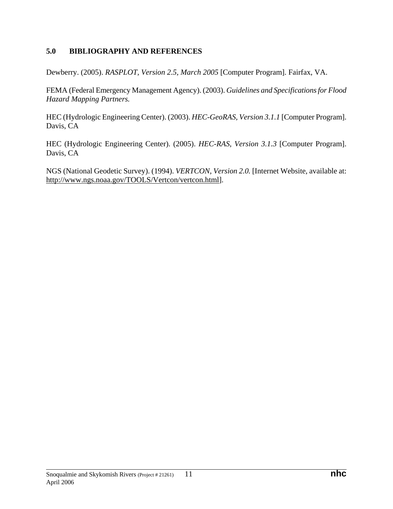#### **5.0 BIBLIOGRAPHY AND REFERENCES**

Dewberry. (2005). *RASPLOT, Version 2.5, March 2005* [Computer Program]. Fairfax, VA.

FEMA (Federal Emergency Management Agency). (2003). *Guidelines and Specifications for Flood Hazard Mapping Partners.*

HEC (Hydrologic Engineering Center). (2003). *HEC-GeoRAS, Version 3.1.1* [Computer Program]. Davis, CA

HEC (Hydrologic Engineering Center). (2005). *HEC-RAS, Version 3.1.3* [Computer Program]. Davis, CA

NGS (National Geodetic Survey). (1994). *VERTCON, Version 2.0.* [Internet Website, available at: http://www.ngs.noaa.gov/TOOLS/Vertcon/vertcon.html].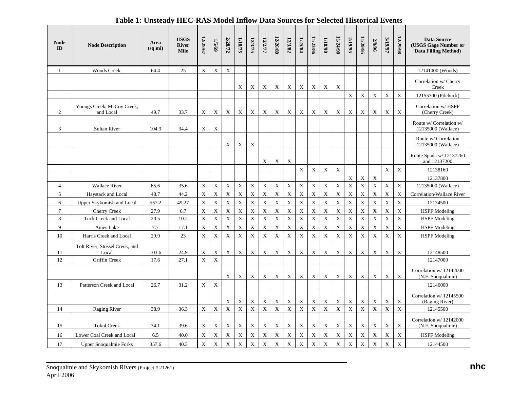| <b>Node</b><br>ID | <b>Node Description</b>                 | Area<br>(sqmi) | <b>USGS</b><br><b>River</b><br><b>Mile</b> | 12/25/67    | 1/5/69      | 2/28/72     | 1/18/75     | 12/3/75     | 12/2/77                   | 12/26/80    | 12/3/82     | 1/25/84     | 11/23/86    | $06/017$    | 11/24/90                  | 2/19/95                   | 11/29/95    | 2/9/96      | <b>S/19/97</b> | 12/29/98    | <b>Data Source</b><br>(USGS Gage Number or<br>Data Filling Method) |
|-------------------|-----------------------------------------|----------------|--------------------------------------------|-------------|-------------|-------------|-------------|-------------|---------------------------|-------------|-------------|-------------|-------------|-------------|---------------------------|---------------------------|-------------|-------------|----------------|-------------|--------------------------------------------------------------------|
| 1                 | Woods Creek.                            | 64.4           | 25                                         | X           | $\mathbf X$ | $\mathbf X$ |             |             |                           |             |             |             |             |             |                           |                           |             |             |                |             | 12141000 (Woods)                                                   |
|                   |                                         |                |                                            |             |             |             | X           | X           | X                         | X           | X           | X           | X           | X           | $\boldsymbol{\mathrm{X}}$ |                           |             |             |                |             | Correlation w/ Cherry<br>Creek                                     |
|                   |                                         |                |                                            |             |             |             |             |             |                           |             |             |             |             |             |                           | $\mathbf X$               | X           | $\mathbf X$ | $\mathbf X$    | $\mathbf X$ | 12155300 (Pilchuck)                                                |
| $\overline{c}$    | Youngs Creek, McCoy Creek,<br>and Local | 49.7           | 33.7                                       | X           | X           | X           | X           | X           | $\mathbf X$               | X           | X           | X           | $\mathbf X$ | X           | X                         | $\boldsymbol{\mathrm{X}}$ | X           | $\mathbf X$ | X              | $\mathbf X$ | Correlation w/ HSPF<br>(Cherry Creek)                              |
| 3                 | <b>Sultan River</b>                     | 104.9          | 34.4                                       | X           | $\mathbf X$ |             |             |             |                           |             |             |             |             |             |                           |                           |             |             |                |             | Route w/ Correlation w/<br>12135000 (Wallace)                      |
|                   |                                         |                |                                            |             |             | X           | X           | X           |                           |             |             |             |             |             |                           |                           |             |             |                |             | Route w/ Correlation<br>12135000 (Wallace)                         |
|                   |                                         |                |                                            |             |             |             |             |             | X                         | X           | X           |             |             |             |                           |                           |             |             |                |             | Route Spada w/ 12137260<br>and 12137200                            |
|                   |                                         |                |                                            |             |             |             |             |             |                           |             |             | $\mathbf X$ | $\mathbf X$ | $\mathbf X$ | $\mathbf X$               |                           |             |             | $\mathbf X$    | $\mathbf X$ | 12138160                                                           |
|                   |                                         |                |                                            |             |             |             |             |             |                           |             |             |             |             |             |                           | $\mathbf X$               | $\mathbf X$ | $\mathbf X$ |                |             | 12137800                                                           |
| $\overline{4}$    | <b>Wallace River</b>                    | 65.6           | 35.6                                       | $\mathbf X$ | $\mathbf X$ | $\mathbf X$ | $\mathbf X$ | $\mathbf X$ | $\mathbf X$               | $\mathbf X$ | $\mathbf X$ | $\mathbf X$ | $\mathbf X$ | $\mathbf X$ | $\mathbf X$               | $\mathbf X$               | $\mathbf X$ | $\mathbf X$ | $\mathbf X$    | $\mathbf X$ | 12135000 (Wallace)                                                 |
| 5                 | Haystack and Local                      | 48.7           | 44.2                                       | X           | $\mathbf X$ | $\mathbf X$ | $\mathbf X$ | $\mathbf X$ | $\boldsymbol{\mathrm{X}}$ | X           | X           | $\bar{X}$   | $\mathbf X$ | $\mathbf X$ | $\mathbf X$               | $\boldsymbol{\mathrm{X}}$ | X           | $\bar{X}$   | $\mathbf X$    | $\mathbf X$ | Correlation/Wallace River                                          |
| 6                 | Upper Skykomish and Local               | 557.2          | 49.27                                      | X           | $\mathbf X$ | $\mathbf X$ | $\mathbf X$ | $\mathbf X$ | $\mathbf X$               | $\mathbf X$ | $\mathbf X$ | $\rm X$     | $\mathbf X$ | $\mathbf X$ | $\mathbf X$               | $\boldsymbol{\mathrm{X}}$ | $\mathbf X$ | $\mathbf X$ | $\mathbf X$    | $\mathbf X$ | 12134500                                                           |
| $\overline{7}$    | <b>Cherry Creek</b>                     | 27.9           | 6.7                                        | X           | $\mathbf X$ | $\mathbf X$ | $\mathbf X$ | $\mathbf X$ | $\mathbf X$               | $\mathbf X$ | $\mathbf X$ | $\mathbf X$ | $\mathbf X$ | $\mathbf X$ | $\mathbf X$               | $\boldsymbol{\mathrm{X}}$ | $\mathbf X$ | $\mathbf X$ | $\mathbf X$    | $\mathbf X$ | <b>HSPF</b> Modeling                                               |
| 8                 | Tuck Creek and Local                    | 20.5           | 10.2                                       | $\mathbf X$ | $\mathbf X$ | $\mathbf X$ | $\mathbf X$ | $\mathbf X$ | $\mathbf X$               | $\mathbf X$ | $\mathbf X$ | $\mathbf X$ | $\mathbf X$ | $\mathbf X$ | $\mathbf X$               | $\mathbf X$               | $\mathbf X$ | $\mathbf X$ | $\mathbf X$    | $\mathbf X$ | <b>HSPF</b> Modeling                                               |
| 9                 | Ames Lake                               | 7.7            | 17.1                                       | $\mathbf X$ | $\mathbf X$ | $\mathbf X$ | $\mathbf X$ | $\mathbf X$ | $\mathbf X$               | $\mathbf X$ | $\mathbf X$ | $\mathbf X$ | $\mathbf X$ | $\mathbf X$ | $\mathbf X$               | $\mathbf X$               | $\mathbf X$ | $\mathbf X$ | $\mathbf X$    | $\mathbf X$ | <b>HSPF</b> Modeling                                               |
| $10\,$            | Harris Creek and Local                  | 29.9           | 23                                         | $\mathbf X$ | $\mathbf X$ | $\mathbf X$ | $\mathbf X$ | $\mathbf X$ | $\mathbf X$               | $\mathbf X$ | $\mathbf X$ | $\mathbf X$ | $\rm X$     | $\mathbf X$ | $\mathbf X$               | $\mathbf X$               | $\mathbf X$ | $\mathbf X$ | $\mathbf X$    | $\mathbf X$ | <b>HSPF</b> Modeling                                               |
| 11                | Tolt River, Stossel Creek, and<br>Local | 103.6          | 24.9                                       | X           | X           | X           | X           | $\mathbf X$ | $\mathbf X$               | X           | X           | X           | $\mathbf X$ | $\mathbf X$ | $\boldsymbol{\mathrm{X}}$ | $\boldsymbol{\mathrm{X}}$ | X           | X           | X              | $\mathbf X$ | 12148500                                                           |
| 12                | Griffin Creek                           | 17.6           | 27.1                                       | $\mathbf X$ | $\mathbf X$ |             |             |             |                           |             |             |             |             |             |                           |                           |             |             |                |             | 12147000                                                           |
|                   |                                         |                |                                            |             |             | X           | $\mathbf X$ | X           | $\mathbf X$               | $\mathbf X$ | $\mathbf X$ | $\mathbf X$ | $\mathbf X$ | $\mathbf X$ | X                         | $\mathbf X$               | $\mathbf X$ | $\mathbf X$ | X              | $\mathbf X$ | Correlation w/ 12142000<br>(N.F. Snoqualmie)                       |
| 13                | Patterson Creek and Local               | 26.7           | 31.2                                       | $\mathbf X$ | $\mathbf X$ |             |             |             |                           |             |             |             |             |             |                           |                           |             |             |                |             | 12146000                                                           |
|                   |                                         |                |                                            |             |             | X           | X           | $\mathbf X$ | $\mathbf X$               | X           | X           | X           | X           | $\mathbf X$ | $\mathbf X$               | $\boldsymbol{\mathrm{X}}$ | X           | X           | X              | $\mathbf X$ | Correlation w/ 12145500<br>(Raging River)                          |
| 14                | <b>Raging River</b>                     | 38.9           | 36.3                                       | $\mathbf X$ | $\mathbf X$ | $\mathbf X$ | $\mathbf X$ | $\mathbf X$ | $\mathbf X$               | $\mathbf X$ | $\mathbf X$ | $\mathbf X$ | $\mathbf X$ | $\mathbf X$ | $\mathbf X$               | $\mathbf X$               | $\mathbf X$ | $\mathbf X$ | $\mathbf X$    | $\mathbf X$ | 12145500                                                           |
| 15                | <b>Tokul Creek</b>                      | 34.1           | 39.6                                       | X           | $\mathbf X$ | $\mathbf X$ | X           | $\mathbf X$ | $\mathbf X$               | X           | $\mathbf X$ | $\mathbf X$ | $\mathbf X$ | $\mathbf X$ | $\mathbf X$               | $\boldsymbol{\mathrm{X}}$ | X           | $\mathbf X$ | X              | X           | Correlation w/ 12142000<br>(N.F. Snoqualmie)                       |
| 16                | Lower Coal Creek and Local              | 6.5            | 40.0                                       | X           | $\mathbf X$ | $\mathbf X$ | $\mathbf X$ | $\mathbf X$ | $\mathbf X$               | X           | $\mathbf X$ | $\mathbf X$ | $\mathbf X$ | $\mathbf X$ | $\mathbf X$               | $\mathbf X$               | X           | $\mathbf X$ | $\mathbf X$    | $\mathbf X$ | <b>HSPF</b> Modeling                                               |
| 17                | <b>Upper Snoqualmie Forks</b>           | 357.6          | 40.3                                       | X           | $\mathbf X$ | $\mathbf X$ | $\mathbf X$ | $\mathbf X$ | $\bar{X}$                 | X           | $\mathbf X$ | $\mathbf X$ | $\mathbf X$ | $\mathbf X$ | $\bar{X}$                 | $\mathbf X$               | $\mathbf X$ | $\mathbf X$ | $\mathbf X$    | $\mathbf X$ | 12144500                                                           |

#### **Table 1: Unsteady HEC-RAS Model Inflow Data Sources for Selected Historical Events**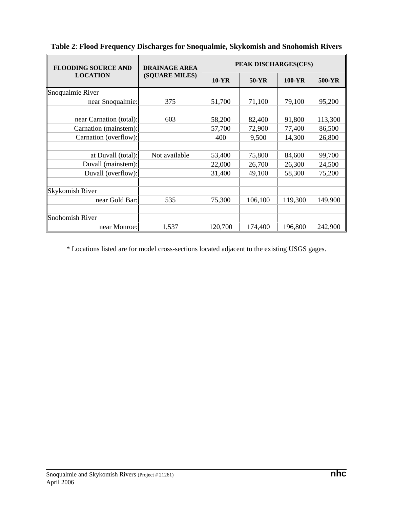| <b>FLOODING SOURCE AND</b> | <b>DRAINAGE AREA</b> | PEAK DISCHARGES(CFS) |         |            |         |  |  |
|----------------------------|----------------------|----------------------|---------|------------|---------|--|--|
| <b>LOCATION</b>            | (SQUARE MILES)       | $10-YR$              | $50-YR$ | $100 - YR$ | 500-YR  |  |  |
| Snoqualmie River           |                      |                      |         |            |         |  |  |
| near Snoqualmie:           | 375                  | 51,700               | 71,100  | 79,100     | 95,200  |  |  |
|                            |                      |                      |         |            |         |  |  |
| near Carnation (total):    | 603                  | 58,200               | 82,400  | 91,800     | 113,300 |  |  |
| Carnation (mainstem):      |                      | 57,700               | 72,900  | 77,400     | 86,500  |  |  |
| Carnation (overflow):      |                      | 400                  | 9,500   | 14,300     | 26,800  |  |  |
|                            |                      |                      |         |            |         |  |  |
| at Duvall (total):         | Not available        | 53,400               | 75,800  | 84,600     | 99,700  |  |  |
| Duvall (mainstem):         |                      | 22,000               | 26,700  | 26,300     | 24,500  |  |  |
| Duvall (overflow):         |                      | 31,400               | 49,100  | 58,300     | 75,200  |  |  |
|                            |                      |                      |         |            |         |  |  |
| <b>Skykomish River</b>     |                      |                      |         |            |         |  |  |
| near Gold Bar:             | 535                  | 75,300               | 106,100 | 119,300    | 149,900 |  |  |
|                            |                      |                      |         |            |         |  |  |
| Snohomish River            |                      |                      |         |            |         |  |  |
| near Monroe:               | 1,537                | 120,700              | 174,400 | 196,800    | 242,900 |  |  |

**Table 2**: **Flood Frequency Discharges for Snoqualmie, Skykomish and Snohomish Rivers** 

\* Locations listed are for model cross-sections located adjacent to the existing USGS gages.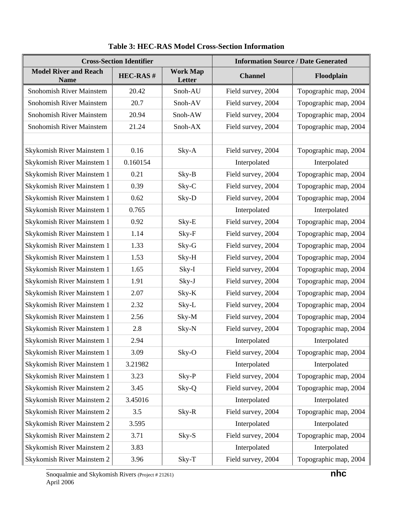|                                             | <b>Cross-Section Identifier</b> | <b>Information Source / Date Generated</b> |                    |                       |  |
|---------------------------------------------|---------------------------------|--------------------------------------------|--------------------|-----------------------|--|
| <b>Model River and Reach</b><br><b>Name</b> | <b>HEC-RAS#</b>                 | <b>Work Map</b><br>Letter                  | <b>Channel</b>     | Floodplain            |  |
| Snohomish River Mainstem                    | 20.42                           | Snoh-AU                                    | Field survey, 2004 | Topographic map, 2004 |  |
| <b>Snohomish River Mainstem</b>             | 20.7                            | Snoh-AV                                    | Field survey, 2004 | Topographic map, 2004 |  |
| Snohomish River Mainstem                    | 20.94                           | Snoh-AW                                    | Field survey, 2004 | Topographic map, 2004 |  |
| Snohomish River Mainstem                    | 21.24                           | Snoh-AX                                    | Field survey, 2004 | Topographic map, 2004 |  |
|                                             |                                 |                                            |                    |                       |  |
| Skykomish River Mainstem 1                  | 0.16                            | Sky-A                                      | Field survey, 2004 | Topographic map, 2004 |  |
| Skykomish River Mainstem 1                  | 0.160154                        |                                            | Interpolated       | Interpolated          |  |
| Skykomish River Mainstem 1                  | 0.21                            | Sky-B                                      | Field survey, 2004 | Topographic map, 2004 |  |
| Skykomish River Mainstem 1                  | 0.39                            | Sky-C                                      | Field survey, 2004 | Topographic map, 2004 |  |
| Skykomish River Mainstem 1                  | 0.62                            | Sky-D                                      | Field survey, 2004 | Topographic map, 2004 |  |
| Skykomish River Mainstem 1                  | 0.765                           |                                            | Interpolated       | Interpolated          |  |
| Skykomish River Mainstem 1                  | 0.92                            | Sky-E                                      | Field survey, 2004 | Topographic map, 2004 |  |
| Skykomish River Mainstem 1                  | 1.14                            | Sky-F                                      | Field survey, 2004 | Topographic map, 2004 |  |
| Skykomish River Mainstem 1                  | 1.33                            | Sky-G                                      | Field survey, 2004 | Topographic map, 2004 |  |
| Skykomish River Mainstem 1                  | 1.53                            | Sky-H                                      | Field survey, 2004 | Topographic map, 2004 |  |
| Skykomish River Mainstem 1                  | 1.65                            | Sky-I                                      | Field survey, 2004 | Topographic map, 2004 |  |
| Skykomish River Mainstem 1                  | 1.91                            | Sky-J                                      | Field survey, 2004 | Topographic map, 2004 |  |
| Skykomish River Mainstem 1                  | 2.07                            | Sky-K                                      | Field survey, 2004 | Topographic map, 2004 |  |
| Skykomish River Mainstem 1                  | 2.32                            | Sky-L                                      | Field survey, 2004 | Topographic map, 2004 |  |
| Skykomish River Mainstem 1                  | 2.56                            | Sky-M                                      | Field survey, 2004 | Topographic map, 2004 |  |
| Skykomish River Mainstem 1                  | 2.8                             | Sky-N                                      | Field survey, 2004 | Topographic map, 2004 |  |
| Skykomish River Mainstem 1                  | 2.94                            |                                            | Interpolated       | Interpolated          |  |
| Skykomish River Mainstem 1                  | 3.09                            | Sky-O                                      | Field survey, 2004 | Topographic map, 2004 |  |
| Skykomish River Mainstem 1                  | 3.21982                         |                                            | Interpolated       | Interpolated          |  |
| Skykomish River Mainstem 1                  | 3.23                            | Sky-P                                      | Field survey, 2004 | Topographic map, 2004 |  |
| Skykomish River Mainstem 2                  | 3.45                            | Sky-Q                                      | Field survey, 2004 | Topographic map, 2004 |  |
| Skykomish River Mainstem 2                  | 3.45016                         |                                            | Interpolated       | Interpolated          |  |
| Skykomish River Mainstem 2                  | 3.5                             | Sky-R                                      | Field survey, 2004 | Topographic map, 2004 |  |
| Skykomish River Mainstem 2                  | 3.595                           |                                            | Interpolated       | Interpolated          |  |
| Skykomish River Mainstem 2                  | 3.71                            | Sky-S                                      | Field survey, 2004 | Topographic map, 2004 |  |
| Skykomish River Mainstem 2                  | 3.83                            |                                            | Interpolated       | Interpolated          |  |
| Skykomish River Mainstem 2                  | 3.96                            | Sky-T                                      | Field survey, 2004 | Topographic map, 2004 |  |

# **Table 3: HEC-RAS Model Cross-Section Information**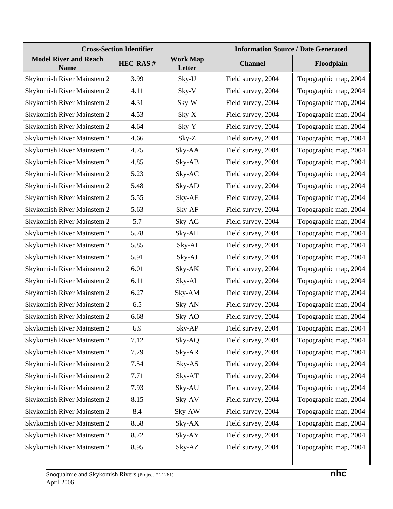| <b>Cross-Section Identifier</b>             |                 |                           | <b>Information Source / Date Generated</b> |                       |  |  |
|---------------------------------------------|-----------------|---------------------------|--------------------------------------------|-----------------------|--|--|
| <b>Model River and Reach</b><br><b>Name</b> | <b>HEC-RAS#</b> | <b>Work Map</b><br>Letter | <b>Channel</b>                             | Floodplain            |  |  |
| Skykomish River Mainstem 2                  | 3.99            | Sky-U                     | Field survey, 2004                         | Topographic map, 2004 |  |  |
| Skykomish River Mainstem 2                  | 4.11            | Sky-V                     | Field survey, 2004                         | Topographic map, 2004 |  |  |
| Skykomish River Mainstem 2                  | 4.31            | Sky-W                     | Field survey, 2004                         | Topographic map, 2004 |  |  |
| Skykomish River Mainstem 2                  | 4.53            | $Sky-X$                   | Field survey, 2004                         | Topographic map, 2004 |  |  |
| Skykomish River Mainstem 2                  | 4.64            | Sky-Y                     | Field survey, 2004                         | Topographic map, 2004 |  |  |
| Skykomish River Mainstem 2                  | 4.66            | Sky-Z                     | Field survey, 2004                         | Topographic map, 2004 |  |  |
| Skykomish River Mainstem 2                  | 4.75            | Sky-AA                    | Field survey, 2004                         | Topographic map, 2004 |  |  |
| Skykomish River Mainstem 2                  | 4.85            | Sky-AB                    | Field survey, 2004                         | Topographic map, 2004 |  |  |
| Skykomish River Mainstem 2                  | 5.23            | Sky-AC                    | Field survey, 2004                         | Topographic map, 2004 |  |  |
| Skykomish River Mainstem 2                  | 5.48            | Sky-AD                    | Field survey, 2004                         | Topographic map, 2004 |  |  |
| <b>Skykomish River Mainstem 2</b>           | 5.55            | Sky-AE                    | Field survey, 2004                         | Topographic map, 2004 |  |  |
| Skykomish River Mainstem 2                  | 5.63            | Sky-AF                    | Field survey, 2004                         | Topographic map, 2004 |  |  |
| Skykomish River Mainstem 2                  | 5.7             | Sky-AG                    | Field survey, 2004                         | Topographic map, 2004 |  |  |
| Skykomish River Mainstem 2                  | 5.78            | Sky-AH                    | Field survey, 2004                         | Topographic map, 2004 |  |  |
| Skykomish River Mainstem 2                  | 5.85            | Sky-AI                    | Field survey, 2004                         | Topographic map, 2004 |  |  |
| Skykomish River Mainstem 2                  | 5.91            | Sky-AJ                    | Field survey, 2004                         | Topographic map, 2004 |  |  |
| Skykomish River Mainstem 2                  | 6.01            | Sky-AK                    | Field survey, 2004                         | Topographic map, 2004 |  |  |
| Skykomish River Mainstem 2                  | 6.11            | Sky-AL                    | Field survey, 2004                         | Topographic map, 2004 |  |  |
| Skykomish River Mainstem 2                  | 6.27            | Sky-AM                    | Field survey, 2004                         | Topographic map, 2004 |  |  |
| Skykomish River Mainstem 2                  | 6.5             | Sky-AN                    | Field survey, 2004                         | Topographic map, 2004 |  |  |
| Skykomish River Mainstem 2                  | 6.68            | Sky-AO                    | Field survey, 2004                         | Topographic map, 2004 |  |  |
| Skykomish River Mainstem 2                  | 6.9             | Sky-AP                    | Field survey, 2004                         | Topographic map, 2004 |  |  |
| Skykomish River Mainstem 2                  | 7.12            | Sky-AQ                    | Field survey, 2004                         | Topographic map, 2004 |  |  |
| Skykomish River Mainstem 2                  | 7.29            | Sky-AR                    | Field survey, 2004                         | Topographic map, 2004 |  |  |
| Skykomish River Mainstem 2                  | 7.54            | Sky-AS                    | Field survey, 2004                         | Topographic map, 2004 |  |  |
| Skykomish River Mainstem 2                  | 7.71            | Sky-AT                    | Field survey, 2004                         | Topographic map, 2004 |  |  |
| Skykomish River Mainstem 2                  | 7.93            | Sky-AU                    | Field survey, 2004                         | Topographic map, 2004 |  |  |
| Skykomish River Mainstem 2                  | 8.15            | Sky-AV                    | Field survey, 2004                         | Topographic map, 2004 |  |  |
| Skykomish River Mainstem 2                  | 8.4             | Sky-AW                    | Field survey, 2004                         | Topographic map, 2004 |  |  |
| Skykomish River Mainstem 2                  | 8.58            | $Sky-AX$                  | Field survey, 2004                         | Topographic map, 2004 |  |  |
| Skykomish River Mainstem 2                  | 8.72            | Sky-AY                    | Field survey, 2004                         | Topographic map, 2004 |  |  |
| Skykomish River Mainstem 2                  | 8.95            | Sky-AZ                    | Field survey, 2004                         | Topographic map, 2004 |  |  |
|                                             |                 |                           |                                            |                       |  |  |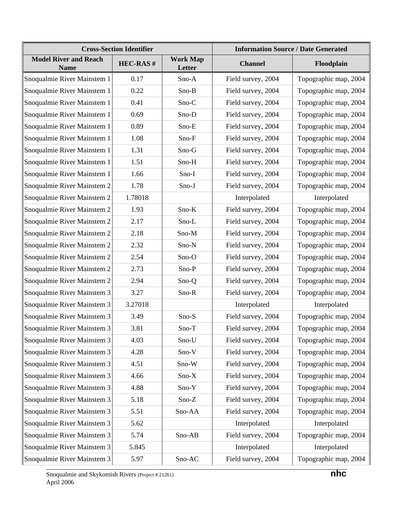| <b>Cross-Section Identifier</b>             |                 |                           | <b>Information Source / Date Generated</b> |                       |  |  |
|---------------------------------------------|-----------------|---------------------------|--------------------------------------------|-----------------------|--|--|
| <b>Model River and Reach</b><br><b>Name</b> | <b>HEC-RAS#</b> | <b>Work Map</b><br>Letter | <b>Channel</b>                             | Floodplain            |  |  |
| Snoqualmie River Mainstem 1                 | 0.17            | Sno-A                     | Field survey, 2004                         | Topographic map, 2004 |  |  |
| Snoqualmie River Mainstem 1                 | 0.22            | $Sno-B$                   | Field survey, 2004                         | Topographic map, 2004 |  |  |
| Snoqualmie River Mainstem 1                 | 0.41            | $Sno-C$                   | Field survey, 2004                         | Topographic map, 2004 |  |  |
| Snoqualmie River Mainstem 1                 | 0.69            | Sno-D                     | Field survey, 2004                         | Topographic map, 2004 |  |  |
| Snoqualmie River Mainstem 1                 | 0.89            | Sno-E                     | Field survey, 2004                         | Topographic map, 2004 |  |  |
| Snoqualmie River Mainstem 1                 | 1.08            | Sno-F                     | Field survey, 2004                         | Topographic map, 2004 |  |  |
| Snoqualmie River Mainstem 1                 | 1.31            | Sno-G                     | Field survey, 2004                         | Topographic map, 2004 |  |  |
| Snoqualmie River Mainstem 1                 | 1.51            | Sno-H                     | Field survey, 2004                         | Topographic map, 2004 |  |  |
| Snoqualmie River Mainstem 1                 | 1.66            | Sno-I                     | Field survey, 2004                         | Topographic map, 2004 |  |  |
| Snoqualmie River Mainstem 2                 | 1.78            | $Sno-J$                   | Field survey, 2004                         | Topographic map, 2004 |  |  |
| Snoqualmie River Mainstem 2                 | 1.78018         |                           | Interpolated                               | Interpolated          |  |  |
| Snoqualmie River Mainstem 2                 | 1.93            | Sno-K                     | Field survey, 2004                         | Topographic map, 2004 |  |  |
| Snoqualmie River Mainstem 2                 | 2.17            | Sno-L                     | Field survey, 2004                         | Topographic map, 2004 |  |  |
| Snoqualmie River Mainstem 2                 | 2.18            | Sno-M                     | Field survey, 2004                         | Topographic map, 2004 |  |  |
| Snoqualmie River Mainstem 2                 | 2.32            | Sno-N                     | Field survey, 2004                         | Topographic map, 2004 |  |  |
| Snoqualmie River Mainstem 2                 | 2.54            | Sno-O                     | Field survey, 2004                         | Topographic map, 2004 |  |  |
| Snoqualmie River Mainstem 2                 | 2.73            | Sno-P                     | Field survey, 2004                         | Topographic map, 2004 |  |  |
| Snoqualmie River Mainstem 2                 | 2.94            | Sno-Q                     | Field survey, 2004                         | Topographic map, 2004 |  |  |
| Snoqualmie River Mainstem 3                 | 3.27            | Sno-R                     | Field survey, 2004                         | Topographic map, 2004 |  |  |
| Snoqualmie River Mainstem 3                 | 3.27018         |                           | Interpolated                               | Interpolated          |  |  |
| Snoqualmie River Mainstem 3                 | 3.49            | Sno-S                     | Field survey, 2004                         | Topographic map, 2004 |  |  |
| Snoqualmie River Mainstem 3                 | 3.81            | $Sno-T$                   | Field survey, 2004                         | Topographic map, 2004 |  |  |
| Snoqualmie River Mainstem 3                 | 4.03            | Sno-U                     | Field survey, 2004                         | Topographic map, 2004 |  |  |
| Snoqualmie River Mainstem 3                 | 4.28            | Sno-V                     | Field survey, 2004                         | Topographic map, 2004 |  |  |
| Snoqualmie River Mainstem 3                 | 4.51            | Sno-W                     | Field survey, 2004                         | Topographic map, 2004 |  |  |
| Snoqualmie River Mainstem 3                 | 4.66            | $Sno-X$                   | Field survey, 2004                         | Topographic map, 2004 |  |  |
| Snoqualmie River Mainstem 3                 | 4.88            | Sno-Y                     | Field survey, 2004                         | Topographic map, 2004 |  |  |
| Snoqualmie River Mainstem 3                 | 5.18            | $Sno-Z$                   | Field survey, 2004                         | Topographic map, 2004 |  |  |
| Snoqualmie River Mainstem 3                 | 5.51            | Sno-AA                    | Field survey, 2004                         | Topographic map, 2004 |  |  |
| Snoqualmie River Mainstem 3                 | 5.62            |                           | Interpolated                               | Interpolated          |  |  |
| Snoqualmie River Mainstem 3                 | 5.74            | Sno-AB                    | Field survey, 2004                         | Topographic map, 2004 |  |  |
| Snoqualmie River Mainstem 3                 | 5.845           |                           | Interpolated                               | Interpolated          |  |  |
| Snoqualmie River Mainstem 3                 | 5.97            | Sno-AC                    | Field survey, 2004                         | Topographic map, 2004 |  |  |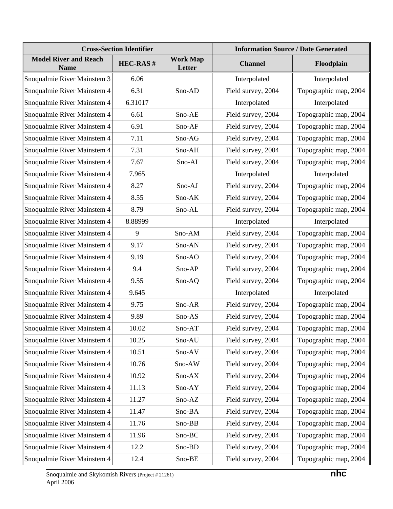|                                             | <b>Cross-Section Identifier</b> | <b>Information Source / Date Generated</b> |                    |                       |  |
|---------------------------------------------|---------------------------------|--------------------------------------------|--------------------|-----------------------|--|
| <b>Model River and Reach</b><br><b>Name</b> | <b>HEC-RAS#</b>                 | <b>Work Map</b><br>Letter                  | <b>Channel</b>     | Floodplain            |  |
| Snoqualmie River Mainstem 3                 | 6.06                            |                                            | Interpolated       | Interpolated          |  |
| Snoqualmie River Mainstem 4                 | 6.31                            | Sno-AD                                     | Field survey, 2004 | Topographic map, 2004 |  |
| Snoqualmie River Mainstem 4                 | 6.31017                         |                                            | Interpolated       | Interpolated          |  |
| Snoqualmie River Mainstem 4                 | 6.61                            | Sno-AE                                     | Field survey, 2004 | Topographic map, 2004 |  |
| Snoqualmie River Mainstem 4                 | 6.91                            | Sno-AF                                     | Field survey, 2004 | Topographic map, 2004 |  |
| Snoqualmie River Mainstem 4                 | 7.11                            | Sno-AG                                     | Field survey, 2004 | Topographic map, 2004 |  |
| Snoqualmie River Mainstem 4                 | 7.31                            | Sno-AH                                     | Field survey, 2004 | Topographic map, 2004 |  |
| Snoqualmie River Mainstem 4                 | 7.67                            | Sno-AI                                     | Field survey, 2004 | Topographic map, 2004 |  |
| Snoqualmie River Mainstem 4                 | 7.965                           |                                            | Interpolated       | Interpolated          |  |
| Snoqualmie River Mainstem 4                 | 8.27                            | Sno-AJ                                     | Field survey, 2004 | Topographic map, 2004 |  |
| Snoqualmie River Mainstem 4                 | 8.55                            | Sno-AK                                     | Field survey, 2004 | Topographic map, 2004 |  |
| Snoqualmie River Mainstem 4                 | 8.79                            | Sno-AL                                     | Field survey, 2004 | Topographic map, 2004 |  |
| Snoqualmie River Mainstem 4                 | 8.88999                         |                                            | Interpolated       | Interpolated          |  |
| Snoqualmie River Mainstem 4                 | 9                               | Sno-AM                                     | Field survey, 2004 | Topographic map, 2004 |  |
| Snoqualmie River Mainstem 4                 | 9.17                            | Sno-AN                                     | Field survey, 2004 | Topographic map, 2004 |  |
| Snoqualmie River Mainstem 4                 | 9.19                            | Sno-AO                                     | Field survey, 2004 | Topographic map, 2004 |  |
| Snoqualmie River Mainstem 4                 | 9.4                             | Sno-AP                                     | Field survey, 2004 | Topographic map, 2004 |  |
| Snoqualmie River Mainstem 4                 | 9.55                            | Sno-AQ                                     | Field survey, 2004 | Topographic map, 2004 |  |
| Snoqualmie River Mainstem 4                 | 9.645                           |                                            | Interpolated       | Interpolated          |  |
| Snoqualmie River Mainstem 4                 | 9.75                            | Sno-AR                                     | Field survey, 2004 | Topographic map, 2004 |  |
| Snoqualmie River Mainstem 4                 | 9.89                            | Sno-AS                                     | Field survey, 2004 | Topographic map, 2004 |  |
| Snoqualmie River Mainstem 4                 | 10.02                           | $Sno-AT$                                   | Field survey, 2004 | Topographic map, 2004 |  |
| Snoqualmie River Mainstem 4                 | 10.25                           | Sno-AU                                     | Field survey, 2004 | Topographic map, 2004 |  |
| Snoqualmie River Mainstem 4                 | 10.51                           | Sno-AV                                     | Field survey, 2004 | Topographic map, 2004 |  |
| Snoqualmie River Mainstem 4                 | 10.76                           | Sno-AW                                     | Field survey, 2004 | Topographic map, 2004 |  |
| Snoqualmie River Mainstem 4                 | 10.92                           | Sno-AX                                     | Field survey, 2004 | Topographic map, 2004 |  |
| Snoqualmie River Mainstem 4                 | 11.13                           | Sno-AY                                     | Field survey, 2004 | Topographic map, 2004 |  |
| Snoqualmie River Mainstem 4                 | 11.27                           | Sno-AZ                                     | Field survey, 2004 | Topographic map, 2004 |  |
| Snoqualmie River Mainstem 4                 | 11.47                           | Sno-BA                                     | Field survey, 2004 | Topographic map, 2004 |  |
| Snoqualmie River Mainstem 4                 | 11.76                           | Sno-BB                                     | Field survey, 2004 | Topographic map, 2004 |  |
| Snoqualmie River Mainstem 4                 | 11.96                           | Sno-BC                                     | Field survey, 2004 | Topographic map, 2004 |  |
| Snoqualmie River Mainstem 4                 | 12.2                            | Sno-BD                                     | Field survey, 2004 | Topographic map, 2004 |  |
| Snoqualmie River Mainstem 4                 | 12.4                            | Sno-BE                                     | Field survey, 2004 | Topographic map, 2004 |  |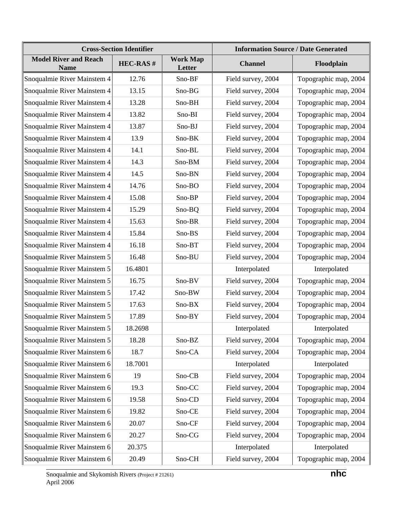| <b>Cross-Section Identifier</b>             |                 |                           | <b>Information Source / Date Generated</b> |                       |  |  |
|---------------------------------------------|-----------------|---------------------------|--------------------------------------------|-----------------------|--|--|
| <b>Model River and Reach</b><br><b>Name</b> | <b>HEC-RAS#</b> | <b>Work Map</b><br>Letter | <b>Channel</b>                             | Floodplain            |  |  |
| Snoqualmie River Mainstem 4                 | 12.76           | Sno-BF                    | Field survey, 2004                         | Topographic map, 2004 |  |  |
| Snoqualmie River Mainstem 4                 | 13.15           | Sno-BG                    | Field survey, 2004                         | Topographic map, 2004 |  |  |
| Snoqualmie River Mainstem 4                 | 13.28           | Sno-BH                    | Field survey, 2004                         | Topographic map, 2004 |  |  |
| Snoqualmie River Mainstem 4                 | 13.82           | Sno-BI                    | Field survey, 2004                         | Topographic map, 2004 |  |  |
| Snoqualmie River Mainstem 4                 | 13.87           | Sno-BJ                    | Field survey, 2004                         | Topographic map, 2004 |  |  |
| Snoqualmie River Mainstem 4                 | 13.9            | Sno-BK                    | Field survey, 2004                         | Topographic map, 2004 |  |  |
| Snoqualmie River Mainstem 4                 | 14.1            | Sno-BL                    | Field survey, 2004                         | Topographic map, 2004 |  |  |
| Snoqualmie River Mainstem 4                 | 14.3            | Sno-BM                    | Field survey, 2004                         | Topographic map, 2004 |  |  |
| Snoqualmie River Mainstem 4                 | 14.5            | Sno-BN                    | Field survey, 2004                         | Topographic map, 2004 |  |  |
| Snoqualmie River Mainstem 4                 | 14.76           | Sno-BO                    | Field survey, 2004                         | Topographic map, 2004 |  |  |
| Snoqualmie River Mainstem 4                 | 15.08           | Sno-BP                    | Field survey, 2004                         | Topographic map, 2004 |  |  |
| Snoqualmie River Mainstem 4                 | 15.29           | Sno-BQ                    | Field survey, 2004                         | Topographic map, 2004 |  |  |
| Snoqualmie River Mainstem 4                 | 15.63           | Sno-BR                    | Field survey, 2004                         | Topographic map, 2004 |  |  |
| Snoqualmie River Mainstem 4                 | 15.84           | Sno-BS                    | Field survey, 2004                         | Topographic map, 2004 |  |  |
| Snoqualmie River Mainstem 4                 | 16.18           | Sno-BT                    | Field survey, 2004                         | Topographic map, 2004 |  |  |
| Snoqualmie River Mainstem 5                 | 16.48           | Sno-BU                    | Field survey, 2004                         | Topographic map, 2004 |  |  |
| Snoqualmie River Mainstem 5                 | 16.4801         |                           | Interpolated                               | Interpolated          |  |  |
| Snoqualmie River Mainstem 5                 | 16.75           | Sno-BV                    | Field survey, 2004                         | Topographic map, 2004 |  |  |
| Snoqualmie River Mainstem 5                 | 17.42           | Sno-BW                    | Field survey, 2004                         | Topographic map, 2004 |  |  |
| Snoqualmie River Mainstem 5                 | 17.63           | Sno-BX                    | Field survey, 2004                         | Topographic map, 2004 |  |  |
| Snoqualmie River Mainstem 5                 | 17.89           | Sno-BY                    | Field survey, 2004                         | Topographic map, 2004 |  |  |
| Snoqualmie River Mainstem 5                 | 18.2698         |                           | Interpolated                               | Interpolated          |  |  |
| Snoqualmie River Mainstem 5                 | 18.28           | Sno-BZ                    | Field survey, 2004                         | Topographic map, 2004 |  |  |
| Snoqualmie River Mainstem 6                 | 18.7            | Sno-CA                    | Field survey, 2004                         | Topographic map, 2004 |  |  |
| Snoqualmie River Mainstem 6                 | 18.7001         |                           | Interpolated                               | Interpolated          |  |  |
| Snoqualmie River Mainstem 6                 | 19              | Sno-CB                    | Field survey, 2004                         | Topographic map, 2004 |  |  |
| Snoqualmie River Mainstem 6                 | 19.3            | Sno-CC                    | Field survey, 2004                         | Topographic map, 2004 |  |  |
| Snoqualmie River Mainstem 6                 | 19.58           | Sno-CD                    | Field survey, 2004                         | Topographic map, 2004 |  |  |
| Snoqualmie River Mainstem 6                 | 19.82           | Sno-CE                    | Field survey, 2004                         | Topographic map, 2004 |  |  |
| Snoqualmie River Mainstem 6                 | 20.07           | Sno-CF                    | Field survey, 2004                         | Topographic map, 2004 |  |  |
| Snoqualmie River Mainstem 6                 | 20.27           | Sno-CG                    | Field survey, 2004                         | Topographic map, 2004 |  |  |
| Snoqualmie River Mainstem 6                 | 20.375          |                           | Interpolated                               | Interpolated          |  |  |
| Snoqualmie River Mainstem 6                 | 20.49           | Sno-CH                    | Field survey, 2004                         | Topographic map, 2004 |  |  |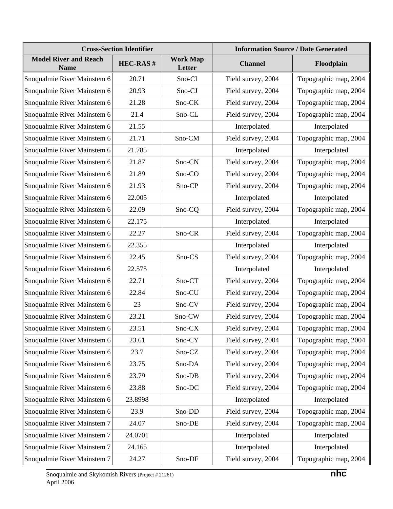| <b>Cross-Section Identifier</b>             |                 |                           | <b>Information Source / Date Generated</b> |                       |  |  |
|---------------------------------------------|-----------------|---------------------------|--------------------------------------------|-----------------------|--|--|
| <b>Model River and Reach</b><br><b>Name</b> | <b>HEC-RAS#</b> | <b>Work Map</b><br>Letter | <b>Channel</b>                             | Floodplain            |  |  |
| Snoqualmie River Mainstem 6                 | 20.71           | Sno-CI                    | Field survey, 2004                         | Topographic map, 2004 |  |  |
| Snoqualmie River Mainstem 6                 | 20.93           | Sno-CJ                    | Field survey, 2004                         | Topographic map, 2004 |  |  |
| Snoqualmie River Mainstem 6                 | 21.28           | Sno-CK                    | Field survey, 2004                         | Topographic map, 2004 |  |  |
| Snoqualmie River Mainstem 6                 | 21.4            | Sno-CL                    | Field survey, 2004                         | Topographic map, 2004 |  |  |
| Snoqualmie River Mainstem 6                 | 21.55           |                           | Interpolated                               | Interpolated          |  |  |
| Snoqualmie River Mainstem 6                 | 21.71           | Sno-CM                    | Field survey, 2004                         | Topographic map, 2004 |  |  |
| Snoqualmie River Mainstem 6                 | 21.785          |                           | Interpolated                               | Interpolated          |  |  |
| Snoqualmie River Mainstem 6                 | 21.87           | Sno-CN                    | Field survey, 2004                         | Topographic map, 2004 |  |  |
| Snoqualmie River Mainstem 6                 | 21.89           | Sno-CO                    | Field survey, 2004                         | Topographic map, 2004 |  |  |
| Snoqualmie River Mainstem 6                 | 21.93           | Sno-CP                    | Field survey, 2004                         | Topographic map, 2004 |  |  |
| Snoqualmie River Mainstem 6                 | 22.005          |                           | Interpolated                               | Interpolated          |  |  |
| Snoqualmie River Mainstem 6                 | 22.09           | Sno-CQ                    | Field survey, 2004                         | Topographic map, 2004 |  |  |
| Snoqualmie River Mainstem 6                 | 22.175          |                           | Interpolated                               | Interpolated          |  |  |
| Snoqualmie River Mainstem 6                 | 22.27           | Sno-CR                    | Field survey, 2004                         | Topographic map, 2004 |  |  |
| Snoqualmie River Mainstem 6                 | 22.355          |                           | Interpolated                               | Interpolated          |  |  |
| Snoqualmie River Mainstem 6                 | 22.45           | Sno-CS                    | Field survey, 2004                         | Topographic map, 2004 |  |  |
| Snoqualmie River Mainstem 6                 | 22.575          |                           | Interpolated                               | Interpolated          |  |  |
| Snoqualmie River Mainstem 6                 | 22.71           | Sno-CT                    | Field survey, 2004                         | Topographic map, 2004 |  |  |
| Snoqualmie River Mainstem 6                 | 22.84           | Sno-CU                    | Field survey, 2004                         | Topographic map, 2004 |  |  |
| Snoqualmie River Mainstem 6                 | 23              | Sno-CV                    | Field survey, 2004                         | Topographic map, 2004 |  |  |
| Snoqualmie River Mainstem 6                 | 23.21           | Sno-CW                    | Field survey, 2004                         | Topographic map, 2004 |  |  |
| Snoqualmie River Mainstem 6                 | 23.51           | Sno-CX                    | Field survey, 2004                         | Topographic map, 2004 |  |  |
| Snoqualmie River Mainstem 6                 | 23.61           | Sno-CY                    | Field survey, 2004                         | Topographic map, 2004 |  |  |
| Snoqualmie River Mainstem 6                 | 23.7            | Sno-CZ                    | Field survey, 2004                         | Topographic map, 2004 |  |  |
| Snoqualmie River Mainstem 6                 | 23.75           | Sno-DA                    | Field survey, 2004                         | Topographic map, 2004 |  |  |
| Snoqualmie River Mainstem 6                 | 23.79           | Sno-DB                    | Field survey, 2004                         | Topographic map, 2004 |  |  |
| Snoqualmie River Mainstem 6                 | 23.88           | Sno-DC                    | Field survey, 2004                         | Topographic map, 2004 |  |  |
| Snoqualmie River Mainstem 6                 | 23.8998         |                           | Interpolated                               | Interpolated          |  |  |
| Snoqualmie River Mainstem 6                 | 23.9            | Sno-DD                    | Field survey, 2004                         | Topographic map, 2004 |  |  |
| Snoqualmie River Mainstem 7                 | 24.07           | Sno-DE                    | Field survey, 2004                         | Topographic map, 2004 |  |  |
| Snoqualmie River Mainstem 7                 | 24.0701         |                           | Interpolated                               | Interpolated          |  |  |
| Snoqualmie River Mainstem 7                 | 24.165          |                           | Interpolated                               | Interpolated          |  |  |
| Snoqualmie River Mainstem 7                 | 24.27           | Sno-DF                    | Field survey, 2004                         | Topographic map, 2004 |  |  |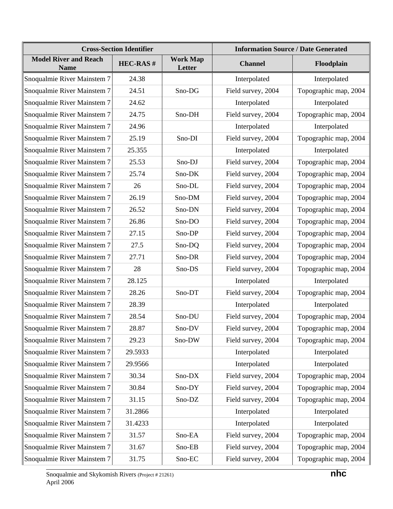|                                             | <b>Cross-Section Identifier</b> | <b>Information Source / Date Generated</b> |                    |                       |  |
|---------------------------------------------|---------------------------------|--------------------------------------------|--------------------|-----------------------|--|
| <b>Model River and Reach</b><br><b>Name</b> | <b>HEC-RAS#</b>                 | <b>Work Map</b><br>Letter                  | <b>Channel</b>     | Floodplain            |  |
| Snoqualmie River Mainstem 7                 | 24.38                           |                                            | Interpolated       | Interpolated          |  |
| Snoqualmie River Mainstem 7                 | 24.51                           | Sno-DG                                     | Field survey, 2004 | Topographic map, 2004 |  |
| Snoqualmie River Mainstem 7                 | 24.62                           |                                            | Interpolated       | Interpolated          |  |
| Snoqualmie River Mainstem 7                 | 24.75                           | Sno-DH                                     | Field survey, 2004 | Topographic map, 2004 |  |
| Snoqualmie River Mainstem 7                 | 24.96                           |                                            | Interpolated       | Interpolated          |  |
| Snoqualmie River Mainstem 7                 | 25.19                           | Sno-DI                                     | Field survey, 2004 | Topographic map, 2004 |  |
| Snoqualmie River Mainstem 7                 | 25.355                          |                                            | Interpolated       | Interpolated          |  |
| Snoqualmie River Mainstem 7                 | 25.53                           | Sno-DJ                                     | Field survey, 2004 | Topographic map, 2004 |  |
| Snoqualmie River Mainstem 7                 | 25.74                           | Sno-DK                                     | Field survey, 2004 | Topographic map, 2004 |  |
| Snoqualmie River Mainstem 7                 | 26                              | Sno-DL                                     | Field survey, 2004 | Topographic map, 2004 |  |
| Snoqualmie River Mainstem 7                 | 26.19                           | Sno-DM                                     | Field survey, 2004 | Topographic map, 2004 |  |
| Snoqualmie River Mainstem 7                 | 26.52                           | Sno-DN                                     | Field survey, 2004 | Topographic map, 2004 |  |
| Snoqualmie River Mainstem 7                 | 26.86                           | Sno-DO                                     | Field survey, 2004 | Topographic map, 2004 |  |
| Snoqualmie River Mainstem 7                 | 27.15                           | Sno-DP                                     | Field survey, 2004 | Topographic map, 2004 |  |
| Snoqualmie River Mainstem 7                 | 27.5                            | Sno-DQ                                     | Field survey, 2004 | Topographic map, 2004 |  |
| Snoqualmie River Mainstem 7                 | 27.71                           | Sno-DR                                     | Field survey, 2004 | Topographic map, 2004 |  |
| Snoqualmie River Mainstem 7                 | 28                              | Sno-DS                                     | Field survey, 2004 | Topographic map, 2004 |  |
| Snoqualmie River Mainstem 7                 | 28.125                          |                                            | Interpolated       | Interpolated          |  |
| Snoqualmie River Mainstem 7                 | 28.26                           | Sno-DT                                     | Field survey, 2004 | Topographic map, 2004 |  |
| Snoqualmie River Mainstem 7                 | 28.39                           |                                            | Interpolated       | Interpolated          |  |
| Snoqualmie River Mainstem 7                 | 28.54                           | Sno-DU                                     | Field survey, 2004 | Topographic map, 2004 |  |
| Snoqualmie River Mainstem 7                 | 28.87                           | Sno-DV                                     | Field survey, 2004 | Topographic map, 2004 |  |
| Snoqualmie River Mainstem 7                 | 29.23                           | Sno-DW                                     | Field survey, 2004 | Topographic map, 2004 |  |
| Snoqualmie River Mainstem 7                 | 29.5933                         |                                            | Interpolated       | Interpolated          |  |
| Snoqualmie River Mainstem 7                 | 29.9566                         |                                            | Interpolated       | Interpolated          |  |
| Snoqualmie River Mainstem 7                 | 30.34                           | Sno-DX                                     | Field survey, 2004 | Topographic map, 2004 |  |
| Snoqualmie River Mainstem 7                 | 30.84                           | Sno-DY                                     | Field survey, 2004 | Topographic map, 2004 |  |
| Snoqualmie River Mainstem 7                 | 31.15                           | Sno-DZ                                     | Field survey, 2004 | Topographic map, 2004 |  |
| Snoqualmie River Mainstem 7                 | 31.2866                         |                                            | Interpolated       | Interpolated          |  |
| Snoqualmie River Mainstem 7                 | 31.4233                         |                                            | Interpolated       | Interpolated          |  |
| Snoqualmie River Mainstem 7                 | 31.57                           | Sno-EA                                     | Field survey, 2004 | Topographic map, 2004 |  |
| Snoqualmie River Mainstem 7                 | 31.67                           | Sno-EB                                     | Field survey, 2004 | Topographic map, 2004 |  |
| Snoqualmie River Mainstem 7                 | 31.75                           | Sno-EC                                     | Field survey, 2004 | Topographic map, 2004 |  |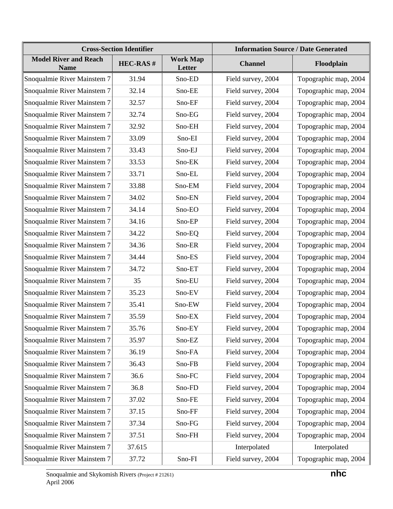| <b>Cross-Section Identifier</b>             |                 |                           | <b>Information Source / Date Generated</b> |                       |  |  |
|---------------------------------------------|-----------------|---------------------------|--------------------------------------------|-----------------------|--|--|
| <b>Model River and Reach</b><br><b>Name</b> | <b>HEC-RAS#</b> | <b>Work Map</b><br>Letter | <b>Channel</b>                             | Floodplain            |  |  |
| Snoqualmie River Mainstem 7                 | 31.94           | Sno-ED                    | Field survey, 2004                         | Topographic map, 2004 |  |  |
| Snoqualmie River Mainstem 7                 | 32.14           | Sno-EE                    | Field survey, 2004                         | Topographic map, 2004 |  |  |
| Snoqualmie River Mainstem 7                 | 32.57           | Sno-EF                    | Field survey, 2004                         | Topographic map, 2004 |  |  |
| Snoqualmie River Mainstem 7                 | 32.74           | Sno-EG                    | Field survey, 2004                         | Topographic map, 2004 |  |  |
| Snoqualmie River Mainstem 7                 | 32.92           | Sno-EH                    | Field survey, 2004                         | Topographic map, 2004 |  |  |
| Snoqualmie River Mainstem 7                 | 33.09           | Sno-EI                    | Field survey, 2004                         | Topographic map, 2004 |  |  |
| Snoqualmie River Mainstem 7                 | 33.43           | Sno-EJ                    | Field survey, 2004                         | Topographic map, 2004 |  |  |
| Snoqualmie River Mainstem 7                 | 33.53           | Sno-EK                    | Field survey, 2004                         | Topographic map, 2004 |  |  |
| Snoqualmie River Mainstem 7                 | 33.71           | Sno-EL                    | Field survey, 2004                         | Topographic map, 2004 |  |  |
| Snoqualmie River Mainstem 7                 | 33.88           | Sno-EM                    | Field survey, 2004                         | Topographic map, 2004 |  |  |
| Snoqualmie River Mainstem 7                 | 34.02           | Sno-EN                    | Field survey, 2004                         | Topographic map, 2004 |  |  |
| Snoqualmie River Mainstem 7                 | 34.14           | Sno-EO                    | Field survey, 2004                         | Topographic map, 2004 |  |  |
| Snoqualmie River Mainstem 7                 | 34.16           | Sno-EP                    | Field survey, 2004                         | Topographic map, 2004 |  |  |
| Snoqualmie River Mainstem 7                 | 34.22           | Sno-EQ                    | Field survey, 2004                         | Topographic map, 2004 |  |  |
| Snoqualmie River Mainstem 7                 | 34.36           | Sno-ER                    | Field survey, 2004                         | Topographic map, 2004 |  |  |
| Snoqualmie River Mainstem 7                 | 34.44           | Sno-ES                    | Field survey, 2004                         | Topographic map, 2004 |  |  |
| Snoqualmie River Mainstem 7                 | 34.72           | Sno-ET                    | Field survey, 2004                         | Topographic map, 2004 |  |  |
| Snoqualmie River Mainstem 7                 | 35              | Sno-EU                    | Field survey, 2004                         | Topographic map, 2004 |  |  |
| Snoqualmie River Mainstem 7                 | 35.23           | Sno-EV                    | Field survey, 2004                         | Topographic map, 2004 |  |  |
| Snoqualmie River Mainstem 7                 | 35.41           | Sno-EW                    | Field survey, 2004                         | Topographic map, 2004 |  |  |
| Snoqualmie River Mainstem 7                 | 35.59           | Sno-EX                    | Field survey, 2004                         | Topographic map, 2004 |  |  |
| Snoqualmie River Mainstem 7                 | 35.76           | Sno-EY                    | Field survey, 2004                         | Topographic map, 2004 |  |  |
| Snoqualmie River Mainstem 7                 | 35.97           | Sno-EZ                    | Field survey, 2004                         | Topographic map, 2004 |  |  |
| Snoqualmie River Mainstem 7                 | 36.19           | Sno-FA                    | Field survey, 2004                         | Topographic map, 2004 |  |  |
| Snoqualmie River Mainstem 7                 | 36.43           | Sno-FB                    | Field survey, 2004                         | Topographic map, 2004 |  |  |
| Snoqualmie River Mainstem 7                 | 36.6            | Sno-FC                    | Field survey, 2004                         | Topographic map, 2004 |  |  |
| Snoqualmie River Mainstem 7                 | 36.8            | Sno-FD                    | Field survey, 2004                         | Topographic map, 2004 |  |  |
| Snoqualmie River Mainstem 7                 | 37.02           | Sno-FE                    | Field survey, 2004                         | Topographic map, 2004 |  |  |
| Snoqualmie River Mainstem 7                 | 37.15           | Sno-FF                    | Field survey, 2004                         | Topographic map, 2004 |  |  |
| Snoqualmie River Mainstem 7                 | 37.34           | Sno-FG                    | Field survey, 2004                         | Topographic map, 2004 |  |  |
| Snoqualmie River Mainstem 7                 | 37.51           | Sno-FH                    | Field survey, 2004                         | Topographic map, 2004 |  |  |
| Snoqualmie River Mainstem 7                 | 37.615          |                           | Interpolated                               | Interpolated          |  |  |
| Snoqualmie River Mainstem 7                 | 37.72           | Sno-FI                    | Field survey, 2004                         | Topographic map, 2004 |  |  |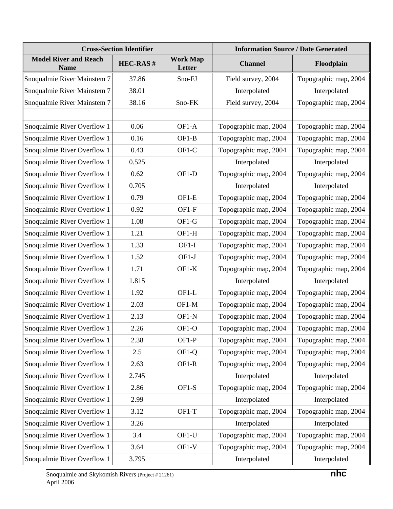|                                             | <b>Cross-Section Identifier</b> |                           |                       | <b>Information Source / Date Generated</b> |
|---------------------------------------------|---------------------------------|---------------------------|-----------------------|--------------------------------------------|
| <b>Model River and Reach</b><br><b>Name</b> | <b>HEC-RAS#</b>                 | <b>Work Map</b><br>Letter | <b>Channel</b>        | Floodplain                                 |
| Snoqualmie River Mainstem 7                 | 37.86                           | Sno-FJ                    | Field survey, 2004    | Topographic map, 2004                      |
| Snoqualmie River Mainstem 7                 | 38.01                           |                           | Interpolated          | Interpolated                               |
| Snoqualmie River Mainstem 7                 | 38.16                           | Sno-FK                    | Field survey, 2004    | Topographic map, 2004                      |
|                                             |                                 |                           |                       |                                            |
| Snoqualmie River Overflow 1                 | 0.06                            | OF1-A                     | Topographic map, 2004 | Topographic map, 2004                      |
| Snoqualmie River Overflow 1                 | 0.16                            | $OF1-B$                   | Topographic map, 2004 | Topographic map, 2004                      |
| Snoqualmie River Overflow 1                 | 0.43                            | OF1-C                     | Topographic map, 2004 | Topographic map, 2004                      |
| Snoqualmie River Overflow 1                 | 0.525                           |                           | Interpolated          | Interpolated                               |
| Snoqualmie River Overflow 1                 | 0.62                            | OF1-D                     | Topographic map, 2004 | Topographic map, 2004                      |
| Snoqualmie River Overflow 1                 | 0.705                           |                           | Interpolated          | Interpolated                               |
| Snoqualmie River Overflow 1                 | 0.79                            | OF1-E                     | Topographic map, 2004 | Topographic map, 2004                      |
| Snoqualmie River Overflow 1                 | 0.92                            | OF1-F                     | Topographic map, 2004 | Topographic map, 2004                      |
| Snoqualmie River Overflow 1                 | 1.08                            | OF1-G                     | Topographic map, 2004 | Topographic map, 2004                      |
| Snoqualmie River Overflow 1                 | 1.21                            | OF1-H                     | Topographic map, 2004 | Topographic map, 2004                      |
| Snoqualmie River Overflow 1                 | 1.33                            | OF1-I                     | Topographic map, 2004 | Topographic map, 2004                      |
| Snoqualmie River Overflow 1                 | 1.52                            | $OF1-J$                   | Topographic map, 2004 | Topographic map, 2004                      |
| Snoqualmie River Overflow 1                 | 1.71                            | $OF1-K$                   | Topographic map, 2004 | Topographic map, 2004                      |
| Snoqualmie River Overflow 1                 | 1.815                           |                           | Interpolated          | Interpolated                               |
| Snoqualmie River Overflow 1                 | 1.92                            | OF1-L                     | Topographic map, 2004 | Topographic map, 2004                      |
| Snoqualmie River Overflow 1                 | 2.03                            | OF1-M                     | Topographic map, 2004 | Topographic map, 2004                      |
| Snoqualmie River Overflow 1                 | 2.13                            | OF1-N                     | Topographic map, 2004 | Topographic map, 2004                      |
| Snoqualmie River Overflow 1                 | 2.26                            | OF1-O                     | Topographic map, 2004 | Topographic map, 2004                      |
| Snoqualmie River Overflow 1                 | 2.38                            | OF1-P                     | Topographic map, 2004 | Topographic map, 2004                      |
| Snoqualmie River Overflow 1                 | 2.5                             | OF1-Q                     | Topographic map, 2004 | Topographic map, 2004                      |
| Snoqualmie River Overflow 1                 | 2.63                            | OF1-R                     | Topographic map, 2004 | Topographic map, 2004                      |
| Snoqualmie River Overflow 1                 | 2.745                           |                           | Interpolated          | Interpolated                               |
| Snoqualmie River Overflow 1                 | 2.86                            | OF1-S                     | Topographic map, 2004 | Topographic map, 2004                      |
| Snoqualmie River Overflow 1                 | 2.99                            |                           | Interpolated          | Interpolated                               |
| Snoqualmie River Overflow 1                 | 3.12                            | OF1-T                     | Topographic map, 2004 | Topographic map, 2004                      |
| Snoqualmie River Overflow 1                 | 3.26                            |                           | Interpolated          | Interpolated                               |
| Snoqualmie River Overflow 1                 | 3.4                             | OF1-U                     | Topographic map, 2004 | Topographic map, 2004                      |
| Snoqualmie River Overflow 1                 | 3.64                            | OF1-V                     | Topographic map, 2004 | Topographic map, 2004                      |
| Snoqualmie River Overflow 1                 | 3.795                           |                           | Interpolated          | Interpolated                               |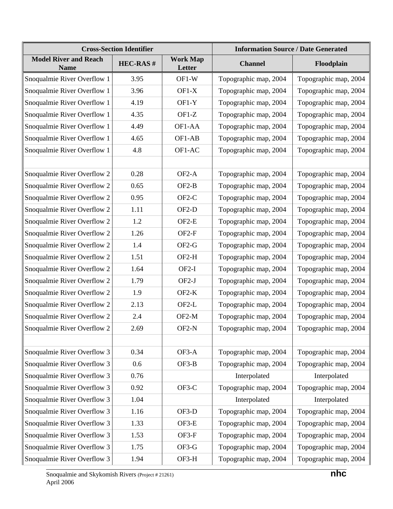|                                             | <b>Cross-Section Identifier</b> |                           | <b>Information Source / Date Generated</b> |                       |  |
|---------------------------------------------|---------------------------------|---------------------------|--------------------------------------------|-----------------------|--|
| <b>Model River and Reach</b><br><b>Name</b> | <b>HEC-RAS#</b>                 | <b>Work Map</b><br>Letter | <b>Channel</b>                             | Floodplain            |  |
| Snoqualmie River Overflow 1                 | 3.95                            | OF1-W                     | Topographic map, 2004                      | Topographic map, 2004 |  |
| Snoqualmie River Overflow 1                 | 3.96                            | $OF1-X$                   | Topographic map, 2004                      | Topographic map, 2004 |  |
| Snoqualmie River Overflow 1                 | 4.19                            | $OF1-Y$                   | Topographic map, 2004                      | Topographic map, 2004 |  |
| Snoqualmie River Overflow 1                 | 4.35                            | $OF1-Z$                   | Topographic map, 2004                      | Topographic map, 2004 |  |
| Snoqualmie River Overflow 1                 | 4.49                            | OF1-AA                    | Topographic map, 2004                      | Topographic map, 2004 |  |
| Snoqualmie River Overflow 1                 | 4.65                            | OF1-AB                    | Topographic map, 2004                      | Topographic map, 2004 |  |
| Snoqualmie River Overflow 1                 | 4.8                             | OF1-AC                    | Topographic map, 2004                      | Topographic map, 2004 |  |
|                                             |                                 |                           |                                            |                       |  |
| Snoqualmie River Overflow 2                 | 0.28                            | OF <sub>2</sub> -A        | Topographic map, 2004                      | Topographic map, 2004 |  |
| Snoqualmie River Overflow 2                 | 0.65                            | $OF2-B$                   | Topographic map, 2004                      | Topographic map, 2004 |  |
| Snoqualmie River Overflow 2                 | 0.95                            | $OF2-C$                   | Topographic map, 2004                      | Topographic map, 2004 |  |
| Snoqualmie River Overflow 2                 | 1.11                            | OF <sub>2</sub> -D        | Topographic map, 2004                      | Topographic map, 2004 |  |
| Snoqualmie River Overflow 2                 | 1.2                             | OF <sub>2-E</sub>         | Topographic map, 2004                      | Topographic map, 2004 |  |
| Snoqualmie River Overflow 2                 | 1.26                            | OF <sub>2-F</sub>         | Topographic map, 2004                      | Topographic map, 2004 |  |
| Snoqualmie River Overflow 2                 | 1.4                             | $OF2-G$                   | Topographic map, 2004                      | Topographic map, 2004 |  |
| Snoqualmie River Overflow 2                 | 1.51                            | $OF2-H$                   | Topographic map, 2004                      | Topographic map, 2004 |  |
| Snoqualmie River Overflow 2                 | 1.64                            | $OF2-I$                   | Topographic map, 2004                      | Topographic map, 2004 |  |
| Snoqualmie River Overflow 2                 | 1.79                            | $OF2-J$                   | Topographic map, 2004                      | Topographic map, 2004 |  |
| Snoqualmie River Overflow 2                 | 1.9                             | $OF2-K$                   | Topographic map, 2004                      | Topographic map, 2004 |  |
| Snoqualmie River Overflow 2                 | 2.13                            | OF2-L                     | Topographic map, 2004                      | Topographic map, 2004 |  |
| Snoqualmie River Overflow 2                 | 2.4                             | OF2-M                     | Topographic map, 2004                      | Topographic map, 2004 |  |
| Snoqualmie River Overflow 2                 | 2.69                            | OF2-N                     | Topographic map, 2004                      | Topographic map, 2004 |  |
|                                             |                                 |                           |                                            |                       |  |
| Snoqualmie River Overflow 3                 | 0.34                            | OF3-A                     | Topographic map, 2004                      | Topographic map, 2004 |  |
| Snoqualmie River Overflow 3                 | 0.6                             | $OF3-B$                   | Topographic map, 2004                      | Topographic map, 2004 |  |
| Snoqualmie River Overflow 3                 | 0.76                            |                           | Interpolated                               | Interpolated          |  |
| Snoqualmie River Overflow 3                 | 0.92                            | OF3-C                     | Topographic map, 2004                      | Topographic map, 2004 |  |
| Snoqualmie River Overflow 3                 | 1.04                            |                           | Interpolated                               | Interpolated          |  |
| Snoqualmie River Overflow 3                 | 1.16                            | OF3-D                     | Topographic map, 2004                      | Topographic map, 2004 |  |
| Snoqualmie River Overflow 3                 | 1.33                            | OF3-E                     | Topographic map, 2004                      | Topographic map, 2004 |  |
| Snoqualmie River Overflow 3                 | 1.53                            | OF3-F                     | Topographic map, 2004                      | Topographic map, 2004 |  |
| Snoqualmie River Overflow 3                 | 1.75                            | OF3-G                     | Topographic map, 2004                      | Topographic map, 2004 |  |
| Snoqualmie River Overflow 3                 | 1.94                            | OF3-H                     | Topographic map, 2004                      | Topographic map, 2004 |  |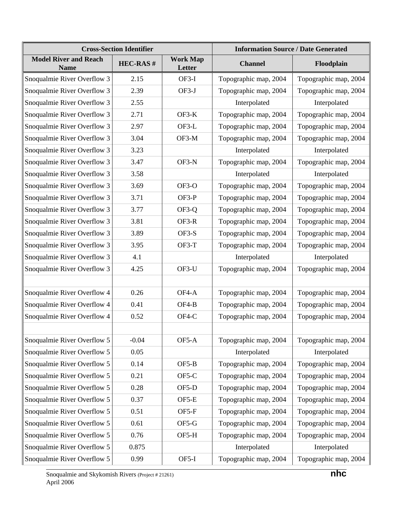|                                             | <b>Cross-Section Identifier</b> |                           | <b>Information Source / Date Generated</b> |                       |  |
|---------------------------------------------|---------------------------------|---------------------------|--------------------------------------------|-----------------------|--|
| <b>Model River and Reach</b><br><b>Name</b> | <b>HEC-RAS#</b>                 | <b>Work Map</b><br>Letter | <b>Channel</b>                             | Floodplain            |  |
| Snoqualmie River Overflow 3                 | 2.15                            | OF3-I                     | Topographic map, 2004                      | Topographic map, 2004 |  |
| Snoqualmie River Overflow 3                 | 2.39                            | OF3-J                     | Topographic map, 2004                      | Topographic map, 2004 |  |
| Snoqualmie River Overflow 3                 | 2.55                            |                           | Interpolated                               | Interpolated          |  |
| Snoqualmie River Overflow 3                 | 2.71                            | $OF3-K$                   | Topographic map, 2004                      | Topographic map, 2004 |  |
| Snoqualmie River Overflow 3                 | 2.97                            | OF3-L                     | Topographic map, 2004                      | Topographic map, 2004 |  |
| Snoqualmie River Overflow 3                 | 3.04                            | OF3-M                     | Topographic map, 2004                      | Topographic map, 2004 |  |
| Snoqualmie River Overflow 3                 | 3.23                            |                           | Interpolated                               | Interpolated          |  |
| Snoqualmie River Overflow 3                 | 3.47                            | OF3-N                     | Topographic map, 2004                      | Topographic map, 2004 |  |
| Snoqualmie River Overflow 3                 | 3.58                            |                           | Interpolated                               | Interpolated          |  |
| Snoqualmie River Overflow 3                 | 3.69                            | OF3-O                     | Topographic map, 2004                      | Topographic map, 2004 |  |
| Snoqualmie River Overflow 3                 | 3.71                            | OF3-P                     | Topographic map, 2004                      | Topographic map, 2004 |  |
| Snoqualmie River Overflow 3                 | 3.77                            | OF3-Q                     | Topographic map, 2004                      | Topographic map, 2004 |  |
| Snoqualmie River Overflow 3                 | 3.81                            | OF3-R                     | Topographic map, 2004                      | Topographic map, 2004 |  |
| Snoqualmie River Overflow 3                 | 3.89                            | OF3-S                     | Topographic map, 2004                      | Topographic map, 2004 |  |
| Snoqualmie River Overflow 3                 | 3.95                            | OF3-T                     | Topographic map, 2004                      | Topographic map, 2004 |  |
| Snoqualmie River Overflow 3                 | 4.1                             |                           | Interpolated                               | Interpolated          |  |
| Snoqualmie River Overflow 3                 | 4.25                            | OF3-U                     | Topographic map, 2004                      | Topographic map, 2004 |  |
|                                             |                                 |                           |                                            |                       |  |
| Snoqualmie River Overflow 4                 | 0.26                            | OF4-A                     | Topographic map, 2004                      | Topographic map, 2004 |  |
| Snoqualmie River Overflow 4                 | 0.41                            | OF4-B                     | Topographic map, 2004                      | Topographic map, 2004 |  |
| Snoqualmie River Overflow 4                 | 0.52                            | OF4-C                     | Topographic map, 2004                      | Topographic map, 2004 |  |
|                                             |                                 |                           |                                            |                       |  |
| Snoqualmie River Overflow 5                 | $-0.04$                         | OF5-A                     | Topographic map, 2004                      | Topographic map, 2004 |  |
| Snoqualmie River Overflow 5                 | 0.05                            |                           | Interpolated                               | Interpolated          |  |
| Snoqualmie River Overflow 5                 | 0.14                            | OF5-B                     | Topographic map, 2004                      | Topographic map, 2004 |  |
| Snoqualmie River Overflow 5                 | 0.21                            | OF5-C                     | Topographic map, 2004                      | Topographic map, 2004 |  |
| Snoqualmie River Overflow 5                 | 0.28                            | OF5-D                     | Topographic map, 2004                      | Topographic map, 2004 |  |
| Snoqualmie River Overflow 5                 | 0.37                            | OF5-E                     | Topographic map, 2004                      | Topographic map, 2004 |  |
| Snoqualmie River Overflow 5                 | 0.51                            | OF5-F                     | Topographic map, 2004                      | Topographic map, 2004 |  |
| Snoqualmie River Overflow 5                 | 0.61                            | OF5-G                     | Topographic map, 2004                      | Topographic map, 2004 |  |
| Snoqualmie River Overflow 5                 | 0.76                            | OF5-H                     | Topographic map, 2004                      | Topographic map, 2004 |  |
| Snoqualmie River Overflow 5                 | 0.875                           |                           | Interpolated                               | Interpolated          |  |
| Snoqualmie River Overflow 5                 | 0.99                            | OF5-I                     | Topographic map, 2004                      | Topographic map, 2004 |  |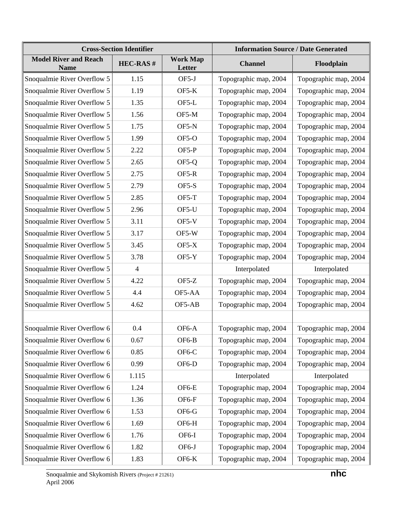|                                             | <b>Cross-Section Identifier</b> |                           | <b>Information Source / Date Generated</b> |                       |  |
|---------------------------------------------|---------------------------------|---------------------------|--------------------------------------------|-----------------------|--|
| <b>Model River and Reach</b><br><b>Name</b> | <b>HEC-RAS#</b>                 | <b>Work Map</b><br>Letter | <b>Channel</b>                             | Floodplain            |  |
| Snoqualmie River Overflow 5                 | 1.15                            | OF5-J                     | Topographic map, 2004                      | Topographic map, 2004 |  |
| Snoqualmie River Overflow 5                 | 1.19                            | $OF5-K$                   | Topographic map, 2004                      | Topographic map, 2004 |  |
| Snoqualmie River Overflow 5                 | 1.35                            | OF5-L                     | Topographic map, 2004                      | Topographic map, 2004 |  |
| Snoqualmie River Overflow 5                 | 1.56                            | OF5-M                     | Topographic map, 2004                      | Topographic map, 2004 |  |
| Snoqualmie River Overflow 5                 | 1.75                            | OF5-N                     | Topographic map, 2004                      | Topographic map, 2004 |  |
| Snoqualmie River Overflow 5                 | 1.99                            | $OF5-O$                   | Topographic map, 2004                      | Topographic map, 2004 |  |
| Snoqualmie River Overflow 5                 | 2.22                            | OF5-P                     | Topographic map, 2004                      | Topographic map, 2004 |  |
| Snoqualmie River Overflow 5                 | 2.65                            | OF5-Q                     | Topographic map, 2004                      | Topographic map, 2004 |  |
| Snoqualmie River Overflow 5                 | 2.75                            | OF5-R                     | Topographic map, 2004                      | Topographic map, 2004 |  |
| Snoqualmie River Overflow 5                 | 2.79                            | OF5-S                     | Topographic map, 2004                      | Topographic map, 2004 |  |
| Snoqualmie River Overflow 5                 | 2.85                            | OF5-T                     | Topographic map, 2004                      | Topographic map, 2004 |  |
| Snoqualmie River Overflow 5                 | 2.96                            | OF5-U                     | Topographic map, 2004                      | Topographic map, 2004 |  |
| Snoqualmie River Overflow 5                 | 3.11                            | $OF5-V$                   | Topographic map, 2004                      | Topographic map, 2004 |  |
| Snoqualmie River Overflow 5                 | 3.17                            | OF5-W                     | Topographic map, 2004                      | Topographic map, 2004 |  |
| Snoqualmie River Overflow 5                 | 3.45                            | $OF5-X$                   | Topographic map, 2004                      | Topographic map, 2004 |  |
| Snoqualmie River Overflow 5                 | 3.78                            | $OF5-Y$                   | Topographic map, 2004                      | Topographic map, 2004 |  |
| Snoqualmie River Overflow 5                 | $\overline{4}$                  |                           | Interpolated                               | Interpolated          |  |
| Snoqualmie River Overflow 5                 | 4.22                            | $OF5-Z$                   | Topographic map, 2004                      | Topographic map, 2004 |  |
| Snoqualmie River Overflow 5                 | 4.4                             | OF5-AA                    | Topographic map, 2004                      | Topographic map, 2004 |  |
| Snoqualmie River Overflow 5                 | 4.62                            | OF5-AB                    | Topographic map, 2004                      | Topographic map, 2004 |  |
|                                             |                                 |                           |                                            |                       |  |
| Snoqualmie River Overflow 6                 | 0.4                             | OF6-A                     | Topographic map, 2004                      | Topographic map, 2004 |  |
| Snoqualmie River Overflow 6                 | 0.67                            | OF6-B                     | Topographic map, 2004                      | Topographic map, 2004 |  |
| Snoqualmie River Overflow 6                 | 0.85                            | OF6-C                     | Topographic map, 2004                      | Topographic map, 2004 |  |
| Snoqualmie River Overflow 6                 | 0.99                            | OF6-D                     | Topographic map, 2004                      | Topographic map, 2004 |  |
| Snoqualmie River Overflow 6                 | 1.115                           |                           | Interpolated                               | Interpolated          |  |
| Snoqualmie River Overflow 6                 | 1.24                            | OF6-E                     | Topographic map, 2004                      | Topographic map, 2004 |  |
| Snoqualmie River Overflow 6                 | 1.36                            | OF6-F                     | Topographic map, 2004                      | Topographic map, 2004 |  |
| Snoqualmie River Overflow 6                 | 1.53                            | OF6-G                     | Topographic map, 2004                      | Topographic map, 2004 |  |
| Snoqualmie River Overflow 6                 | 1.69                            | OF6-H                     | Topographic map, 2004                      | Topographic map, 2004 |  |
| Snoqualmie River Overflow 6                 | 1.76                            | OF6-I                     | Topographic map, 2004                      | Topographic map, 2004 |  |
| Snoqualmie River Overflow 6                 | 1.82                            | OF6-J                     | Topographic map, 2004                      | Topographic map, 2004 |  |
| Snoqualmie River Overflow 6                 | 1.83                            | OF6-K                     | Topographic map, 2004                      | Topographic map, 2004 |  |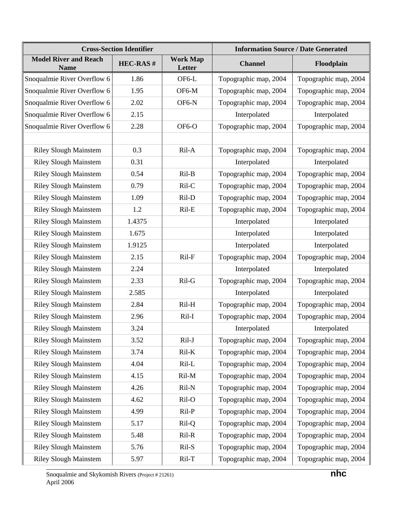|                                             | <b>Cross-Section Identifier</b> |                           | <b>Information Source / Date Generated</b> |                       |  |
|---------------------------------------------|---------------------------------|---------------------------|--------------------------------------------|-----------------------|--|
| <b>Model River and Reach</b><br><b>Name</b> | <b>HEC-RAS#</b>                 | <b>Work Map</b><br>Letter | <b>Channel</b>                             | Floodplain            |  |
| Snoqualmie River Overflow 6                 | 1.86                            | OF6-L                     | Topographic map, 2004                      | Topographic map, 2004 |  |
| Snoqualmie River Overflow 6                 | 1.95                            | OF6-M                     | Topographic map, 2004                      | Topographic map, 2004 |  |
| Snoqualmie River Overflow 6                 | 2.02                            | OF6-N                     | Topographic map, 2004                      | Topographic map, 2004 |  |
| Snoqualmie River Overflow 6                 | 2.15                            |                           | Interpolated                               | Interpolated          |  |
| Snoqualmie River Overflow 6                 | 2.28                            | OF6-O                     | Topographic map, 2004                      | Topographic map, 2004 |  |
|                                             |                                 |                           |                                            |                       |  |
| <b>Riley Slough Mainstem</b>                | 0.3                             | Ril-A                     | Topographic map, 2004                      | Topographic map, 2004 |  |
| <b>Riley Slough Mainstem</b>                | 0.31                            |                           | Interpolated                               | Interpolated          |  |
| <b>Riley Slough Mainstem</b>                | 0.54                            | Ril-B                     | Topographic map, 2004                      | Topographic map, 2004 |  |
| <b>Riley Slough Mainstem</b>                | 0.79                            | Ril-C                     | Topographic map, 2004                      | Topographic map, 2004 |  |
| <b>Riley Slough Mainstem</b>                | 1.09                            | Ril-D                     | Topographic map, 2004                      | Topographic map, 2004 |  |
| <b>Riley Slough Mainstem</b>                | 1.2                             | Ril-E                     | Topographic map, 2004                      | Topographic map, 2004 |  |
| <b>Riley Slough Mainstem</b>                | 1.4375                          |                           | Interpolated                               | Interpolated          |  |
| <b>Riley Slough Mainstem</b>                | 1.675                           |                           | Interpolated                               | Interpolated          |  |
| <b>Riley Slough Mainstem</b>                | 1.9125                          |                           | Interpolated                               | Interpolated          |  |
| <b>Riley Slough Mainstem</b>                | 2.15                            | Ril-F                     | Topographic map, 2004                      | Topographic map, 2004 |  |
| <b>Riley Slough Mainstem</b>                | 2.24                            |                           | Interpolated                               | Interpolated          |  |
| <b>Riley Slough Mainstem</b>                | 2.33                            | Ril-G                     | Topographic map, 2004                      | Topographic map, 2004 |  |
| <b>Riley Slough Mainstem</b>                | 2.585                           |                           | Interpolated                               | Interpolated          |  |
| <b>Riley Slough Mainstem</b>                | 2.84                            | Ril-H                     | Topographic map, 2004                      | Topographic map, 2004 |  |
| <b>Riley Slough Mainstem</b>                | 2.96                            | Ril-I                     | Topographic map, 2004                      | Topographic map, 2004 |  |
| <b>Riley Slough Mainstem</b>                | 3.24                            |                           | Interpolated                               | Interpolated          |  |
| <b>Riley Slough Mainstem</b>                | 3.52                            | Ril-J                     | Topographic map, 2004                      | Topographic map, 2004 |  |
| <b>Riley Slough Mainstem</b>                | 3.74                            | Ril-K                     | Topographic map, 2004                      | Topographic map, 2004 |  |
| <b>Riley Slough Mainstem</b>                | 4.04                            | Ril-L                     | Topographic map, 2004                      | Topographic map, 2004 |  |
| <b>Riley Slough Mainstem</b>                | 4.15                            | Ril-M                     | Topographic map, 2004                      | Topographic map, 2004 |  |
| <b>Riley Slough Mainstem</b>                | 4.26                            | Ril-N                     | Topographic map, 2004                      | Topographic map, 2004 |  |
| <b>Riley Slough Mainstem</b>                | 4.62                            | Ril-O                     | Topographic map, 2004                      | Topographic map, 2004 |  |
| <b>Riley Slough Mainstem</b>                | 4.99                            | Ril-P                     | Topographic map, 2004                      | Topographic map, 2004 |  |
| <b>Riley Slough Mainstem</b>                | 5.17                            | Ril-Q                     | Topographic map, 2004                      | Topographic map, 2004 |  |
| <b>Riley Slough Mainstem</b>                | 5.48                            | Ril-R                     | Topographic map, 2004                      | Topographic map, 2004 |  |
| <b>Riley Slough Mainstem</b>                | 5.76                            | Ril-S                     | Topographic map, 2004                      | Topographic map, 2004 |  |
| <b>Riley Slough Mainstem</b>                | 5.97                            | $Ril-T$                   | Topographic map, 2004                      | Topographic map, 2004 |  |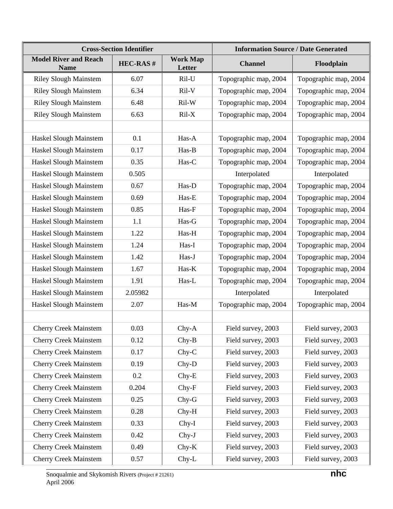|                                             | <b>Cross-Section Identifier</b> |                           | <b>Information Source / Date Generated</b> |                       |  |
|---------------------------------------------|---------------------------------|---------------------------|--------------------------------------------|-----------------------|--|
| <b>Model River and Reach</b><br><b>Name</b> | <b>HEC-RAS#</b>                 | <b>Work Map</b><br>Letter | <b>Channel</b>                             | Floodplain            |  |
| <b>Riley Slough Mainstem</b>                | 6.07                            | Ril-U                     | Topographic map, 2004                      | Topographic map, 2004 |  |
| <b>Riley Slough Mainstem</b>                | 6.34                            | Ril-V                     | Topographic map, 2004                      | Topographic map, 2004 |  |
| <b>Riley Slough Mainstem</b>                | 6.48                            | Ril-W                     | Topographic map, 2004                      | Topographic map, 2004 |  |
| <b>Riley Slough Mainstem</b>                | 6.63                            | $Ril-X$                   | Topographic map, 2004                      | Topographic map, 2004 |  |
|                                             |                                 |                           |                                            |                       |  |
| Haskel Slough Mainstem                      | 0.1                             | Has-A                     | Topographic map, 2004                      | Topographic map, 2004 |  |
| Haskel Slough Mainstem                      | 0.17                            | Has-B                     | Topographic map, 2004                      | Topographic map, 2004 |  |
| Haskel Slough Mainstem                      | 0.35                            | Has-C                     | Topographic map, 2004                      | Topographic map, 2004 |  |
| Haskel Slough Mainstem                      | 0.505                           |                           | Interpolated                               | Interpolated          |  |
| Haskel Slough Mainstem                      | 0.67                            | Has-D                     | Topographic map, 2004                      | Topographic map, 2004 |  |
| Haskel Slough Mainstem                      | 0.69                            | Has-E                     | Topographic map, 2004                      | Topographic map, 2004 |  |
| Haskel Slough Mainstem                      | 0.85                            | Has-F                     | Topographic map, 2004                      | Topographic map, 2004 |  |
| Haskel Slough Mainstem                      | 1.1                             | Has-G                     | Topographic map, 2004                      | Topographic map, 2004 |  |
| Haskel Slough Mainstem                      | 1.22                            | Has-H                     | Topographic map, 2004                      | Topographic map, 2004 |  |
| Haskel Slough Mainstem                      | 1.24                            | Has-I                     | Topographic map, 2004                      | Topographic map, 2004 |  |
| Haskel Slough Mainstem                      | 1.42                            | Has-J                     | Topographic map, 2004                      | Topographic map, 2004 |  |
| Haskel Slough Mainstem                      | 1.67                            | Has-K                     | Topographic map, 2004                      | Topographic map, 2004 |  |
| Haskel Slough Mainstem                      | 1.91                            | Has-L                     | Topographic map, 2004                      | Topographic map, 2004 |  |
| Haskel Slough Mainstem                      | 2.05982                         |                           | Interpolated                               | Interpolated          |  |
| Haskel Slough Mainstem                      | 2.07                            | Has-M                     | Topographic map, 2004                      | Topographic map, 2004 |  |
|                                             |                                 |                           |                                            |                       |  |
| <b>Cherry Creek Mainstem</b>                | 0.03                            | Chy-A                     | Field survey, 2003                         | Field survey, 2003    |  |
| <b>Cherry Creek Mainstem</b>                | 0.12                            | $Chy-B$                   | Field survey, 2003                         | Field survey, 2003    |  |
| <b>Cherry Creek Mainstem</b>                | 0.17                            | $Chy-C$                   | Field survey, 2003                         | Field survey, 2003    |  |
| <b>Cherry Creek Mainstem</b>                | 0.19                            | Chy-D                     | Field survey, 2003                         | Field survey, 2003    |  |
| <b>Cherry Creek Mainstem</b>                | 0.2                             | $Chy-E$                   | Field survey, 2003                         | Field survey, 2003    |  |
| <b>Cherry Creek Mainstem</b>                | 0.204                           | $Chy-F$                   | Field survey, 2003                         | Field survey, 2003    |  |
| <b>Cherry Creek Mainstem</b>                | 0.25                            | $Chy-G$                   | Field survey, 2003                         | Field survey, 2003    |  |
| <b>Cherry Creek Mainstem</b>                | 0.28                            | $Chy-H$                   | Field survey, 2003                         | Field survey, 2003    |  |
| <b>Cherry Creek Mainstem</b>                | 0.33                            | Chy-I                     | Field survey, 2003                         | Field survey, 2003    |  |
| <b>Cherry Creek Mainstem</b>                | 0.42                            | Chy-J                     | Field survey, 2003                         | Field survey, 2003    |  |
| <b>Cherry Creek Mainstem</b>                | 0.49                            | $Chy-K$                   | Field survey, 2003                         | Field survey, 2003    |  |
| <b>Cherry Creek Mainstem</b>                | 0.57                            | Chy-L                     | Field survey, 2003                         | Field survey, 2003    |  |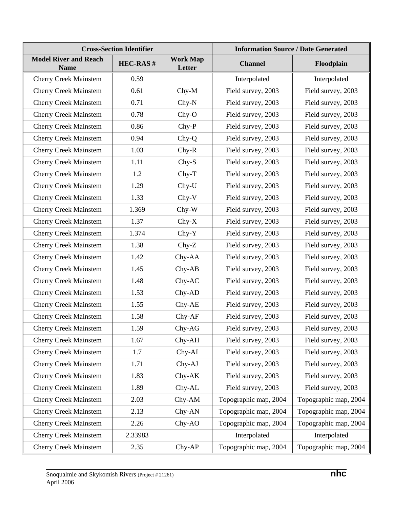|                                             | <b>Cross-Section Identifier</b> |                           |                       | <b>Information Source / Date Generated</b> |
|---------------------------------------------|---------------------------------|---------------------------|-----------------------|--------------------------------------------|
| <b>Model River and Reach</b><br><b>Name</b> | <b>HEC-RAS#</b>                 | <b>Work Map</b><br>Letter | <b>Channel</b>        | Floodplain                                 |
| <b>Cherry Creek Mainstem</b>                | 0.59                            |                           | Interpolated          | Interpolated                               |
| <b>Cherry Creek Mainstem</b>                | 0.61                            | Chy-M                     | Field survey, 2003    | Field survey, 2003                         |
| <b>Cherry Creek Mainstem</b>                | 0.71                            | $Chy-N$                   | Field survey, 2003    | Field survey, 2003                         |
| <b>Cherry Creek Mainstem</b>                | 0.78                            | $Chy-O$                   | Field survey, 2003    | Field survey, 2003                         |
| <b>Cherry Creek Mainstem</b>                | 0.86                            | $Chy-P$                   | Field survey, 2003    | Field survey, 2003                         |
| <b>Cherry Creek Mainstem</b>                | 0.94                            | Chy-Q                     | Field survey, 2003    | Field survey, 2003                         |
| <b>Cherry Creek Mainstem</b>                | 1.03                            | $Chy-R$                   | Field survey, 2003    | Field survey, 2003                         |
| <b>Cherry Creek Mainstem</b>                | 1.11                            | $Chy-S$                   | Field survey, 2003    | Field survey, 2003                         |
| <b>Cherry Creek Mainstem</b>                | 1.2                             | $Chy-T$                   | Field survey, 2003    | Field survey, 2003                         |
| <b>Cherry Creek Mainstem</b>                | 1.29                            | Chy-U                     | Field survey, 2003    | Field survey, 2003                         |
| <b>Cherry Creek Mainstem</b>                | 1.33                            | $Chy-V$                   | Field survey, 2003    | Field survey, 2003                         |
| <b>Cherry Creek Mainstem</b>                | 1.369                           | $Chy-W$                   | Field survey, 2003    | Field survey, 2003                         |
| <b>Cherry Creek Mainstem</b>                | 1.37                            | $Chy-X$                   | Field survey, 2003    | Field survey, 2003                         |
| <b>Cherry Creek Mainstem</b>                | 1.374                           | $Chy-Y$                   | Field survey, 2003    | Field survey, 2003                         |
| <b>Cherry Creek Mainstem</b>                | 1.38                            | $Chy-Z$                   | Field survey, 2003    | Field survey, 2003                         |
| <b>Cherry Creek Mainstem</b>                | 1.42                            | Chy-AA                    | Field survey, 2003    | Field survey, 2003                         |
| <b>Cherry Creek Mainstem</b>                | 1.45                            | $Chy-AB$                  | Field survey, 2003    | Field survey, 2003                         |
| <b>Cherry Creek Mainstem</b>                | 1.48                            | Chy-AC                    | Field survey, 2003    | Field survey, 2003                         |
| <b>Cherry Creek Mainstem</b>                | 1.53                            | Chy-AD                    | Field survey, 2003    | Field survey, 2003                         |
| <b>Cherry Creek Mainstem</b>                | 1.55                            | Chy-AE                    | Field survey, 2003    | Field survey, 2003                         |
| <b>Cherry Creek Mainstem</b>                | 1.58                            | Chy-AF                    | Field survey, 2003    | Field survey, 2003                         |
| <b>Cherry Creek Mainstem</b>                | 1.59                            | Chy-AG                    | Field survey, 2003    | Field survey, 2003                         |
| <b>Cherry Creek Mainstem</b>                | 1.67                            | Chy-AH                    | Field survey, 2003    | Field survey, 2003                         |
| <b>Cherry Creek Mainstem</b>                | 1.7                             | Chy-AI                    | Field survey, 2003    | Field survey, 2003                         |
| <b>Cherry Creek Mainstem</b>                | 1.71                            | Chy-AJ                    | Field survey, 2003    | Field survey, 2003                         |
| <b>Cherry Creek Mainstem</b>                | 1.83                            | Chy-AK                    | Field survey, 2003    | Field survey, 2003                         |
| <b>Cherry Creek Mainstem</b>                | 1.89                            | Chy-AL                    | Field survey, 2003    | Field survey, 2003                         |
| <b>Cherry Creek Mainstem</b>                | 2.03                            | $Chy-AM$                  | Topographic map, 2004 | Topographic map, 2004                      |
| <b>Cherry Creek Mainstem</b>                | 2.13                            | Chy-AN                    | Topographic map, 2004 | Topographic map, 2004                      |
| <b>Cherry Creek Mainstem</b>                | 2.26                            | Chy-AO                    | Topographic map, 2004 | Topographic map, 2004                      |
| <b>Cherry Creek Mainstem</b>                | 2.33983                         |                           | Interpolated          | Interpolated                               |
| <b>Cherry Creek Mainstem</b>                | 2.35                            | Chy-AP                    | Topographic map, 2004 | Topographic map, 2004                      |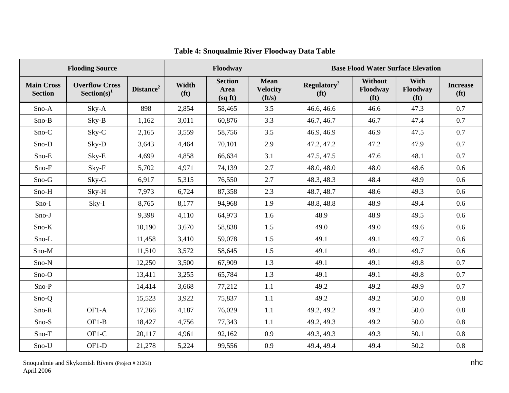|                                     | <b>Flooding Source</b>                  |                       |                            | Floodway                          |                                                  |                                              |                                                 | <b>Base Flood Water Surface Elevation</b> |                                      |
|-------------------------------------|-----------------------------------------|-----------------------|----------------------------|-----------------------------------|--------------------------------------------------|----------------------------------------------|-------------------------------------------------|-------------------------------------------|--------------------------------------|
| <b>Main Cross</b><br><b>Section</b> | <b>Overflow Cross</b><br>$Section(s)^1$ | Distance <sup>2</sup> | Width<br>(f <sup>t</sup> ) | <b>Section</b><br>Area<br>(sq ft) | <b>Mean</b><br><b>Velocity</b><br>$({\bf ft/s})$ | Regulatory <sup>3</sup><br>(f <sup>t</sup> ) | <b>Without</b><br>Floodway<br>(f <sup>t</sup> ) | With<br>Floodway<br>(f <sup>t</sup> )     | <b>Increase</b><br>(f <sup>t</sup> ) |
| Sno-A                               | Sky-A                                   | 898                   | 2,854                      | 58,465                            | 3.5                                              | 46.6, 46.6                                   | 46.6                                            | 47.3                                      | 0.7                                  |
| Sno-B                               | Sky-B                                   | 1,162                 | 3,011                      | 60,876                            | 3.3                                              | 46.7, 46.7                                   | 46.7                                            | 47.4                                      | 0.7                                  |
| Sno-C                               | Sky-C                                   | 2,165                 | 3,559                      | 58,756                            | 3.5                                              | 46.9, 46.9                                   | 46.9                                            | 47.5                                      | 0.7                                  |
| Sno-D                               | Sky-D                                   | 3,643                 | 4,464                      | 70,101                            | 2.9                                              | 47.2, 47.2                                   | 47.2                                            | 47.9                                      | 0.7                                  |
| Sno-E                               | Sky-E                                   | 4,699                 | 4,858                      | 66,634                            | 3.1                                              | 47.5, 47.5                                   | 47.6                                            | 48.1                                      | 0.7                                  |
| Sno-F                               | Sky-F                                   | 5,702                 | 4,971                      | 74,139                            | 2.7                                              | 48.0, 48.0                                   | 48.0                                            | 48.6                                      | 0.6                                  |
| Sno-G                               | Sky-G                                   | 6,917                 | 5,315                      | 76,550                            | 2.7                                              | 48.3, 48.3                                   | 48.4                                            | 48.9                                      | 0.6                                  |
| Sno-H                               | Sky-H                                   | 7,973                 | 6,724                      | 87,358                            | 2.3                                              | 48.7, 48.7                                   | 48.6                                            | 49.3                                      | 0.6                                  |
| Sno-I                               | Sky-I                                   | 8,765                 | 8,177                      | 94,968                            | 1.9                                              | 48.8, 48.8                                   | 48.9                                            | 49.4                                      | 0.6                                  |
| Sno-J                               |                                         | 9,398                 | 4,110                      | 64,973                            | 1.6                                              | 48.9                                         | 48.9                                            | 49.5                                      | 0.6                                  |
| Sno-K                               |                                         | 10,190                | 3,670                      | 58,838                            | 1.5                                              | 49.0                                         | 49.0                                            | 49.6                                      | 0.6                                  |
| Sno-L                               |                                         | 11,458                | 3,410                      | 59,078                            | 1.5                                              | 49.1                                         | 49.1                                            | 49.7                                      | 0.6                                  |
| Sno-M                               |                                         | 11,510                | 3,572                      | 58,645                            | 1.5                                              | 49.1                                         | 49.1                                            | 49.7                                      | 0.6                                  |
| Sno-N                               |                                         | 12,250                | 3,500                      | 67,909                            | 1.3                                              | 49.1                                         | 49.1                                            | 49.8                                      | 0.7                                  |
| $Sno-O$                             |                                         | 13,411                | 3,255                      | 65,784                            | 1.3                                              | 49.1                                         | 49.1                                            | 49.8                                      | 0.7                                  |
| Sno-P                               |                                         | 14,414                | 3,668                      | 77,212                            | 1.1                                              | 49.2                                         | 49.2                                            | 49.9                                      | 0.7                                  |
| Sno-Q                               |                                         | 15,523                | 3,922                      | 75,837                            | 1.1                                              | 49.2                                         | 49.2                                            | 50.0                                      | 0.8                                  |
| Sno-R                               | OF1-A                                   | 17,266                | 4,187                      | 76,029                            | 1.1                                              | 49.2, 49.2                                   | 49.2                                            | 50.0                                      | 0.8                                  |
| Sno-S                               | $OF1-B$                                 | 18,427                | 4,756                      | 77,343                            | 1.1                                              | 49.2, 49.3                                   | 49.2                                            | 50.0                                      | 0.8                                  |
| Sno-T                               | OF1-C                                   | 20,117                | 4,961                      | 92,162                            | 0.9                                              | 49.3, 49.3                                   | 49.3                                            | 50.1                                      | 0.8                                  |
| Sno-U                               | OF1-D                                   | 21,278                | 5,224                      | 99,556                            | 0.9                                              | 49.4, 49.4                                   | 49.4                                            | 50.2                                      | 0.8                                  |

# **Table 4: Snoqualmie River Floodway Data Table**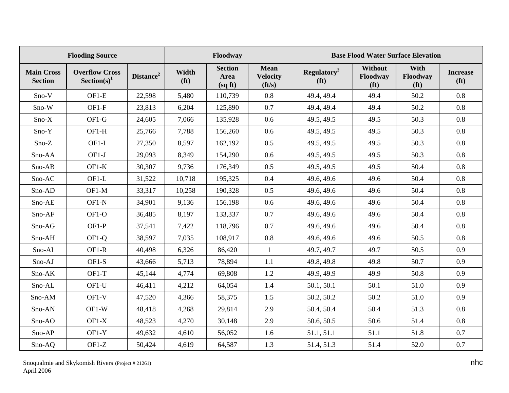|                                     | <b>Flooding Source</b>                           |                       |                            | Floodway                         |                                                  |                                              |                                                 | <b>Base Flood Water Surface Elevation</b> |                                      |
|-------------------------------------|--------------------------------------------------|-----------------------|----------------------------|----------------------------------|--------------------------------------------------|----------------------------------------------|-------------------------------------------------|-------------------------------------------|--------------------------------------|
| <b>Main Cross</b><br><b>Section</b> | <b>Overflow Cross</b><br>Section(s) <sup>1</sup> | Distance <sup>2</sup> | Width<br>(f <sup>t</sup> ) | <b>Section</b><br>Area<br>(sqft) | <b>Mean</b><br><b>Velocity</b><br>$({\bf ft/s})$ | Regulatory <sup>3</sup><br>(f <sup>t</sup> ) | <b>Without</b><br>Floodway<br>(f <sup>t</sup> ) | With<br>Floodway<br>(f <sup>t</sup> )     | <b>Increase</b><br>(f <sup>t</sup> ) |
| Sno-V                               | $OF1-E$                                          | 22,598                | 5,480                      | 110,739                          | 0.8                                              | 49.4, 49.4                                   | 49.4                                            | 50.2                                      | 0.8                                  |
| Sno-W                               | $OF1-F$                                          | 23,813                | 6,204                      | 125,890                          | 0.7                                              | 49.4, 49.4                                   | 49.4                                            | 50.2                                      | 0.8                                  |
| $Sno-X$                             | OF1-G                                            | 24,605                | 7,066                      | 135,928                          | 0.6                                              | 49.5, 49.5                                   | 49.5                                            | 50.3                                      | 0.8                                  |
| Sno-Y                               | OF1-H                                            | 25,766                | 7,788                      | 156,260                          | 0.6                                              | 49.5, 49.5                                   | 49.5                                            | 50.3                                      | 0.8                                  |
| Sno-Z                               | $OF1-I$                                          | 27,350                | 8,597                      | 162,192                          | 0.5                                              | 49.5, 49.5                                   | 49.5                                            | 50.3                                      | 0.8                                  |
| Sno-AA                              | $OF1-J$                                          | 29,093                | 8,349                      | 154,290                          | 0.6                                              | 49.5, 49.5                                   | 49.5                                            | 50.3                                      | 0.8                                  |
| Sno-AB                              | $OF1-K$                                          | 30,307                | 9,736                      | 176,349                          | 0.5                                              | 49.5, 49.5                                   | 49.5                                            | 50.4                                      | 0.8                                  |
| Sno-AC                              | OF1-L                                            | 31,522                | 10,718                     | 195,325                          | 0.4                                              | 49.6, 49.6                                   | 49.6                                            | 50.4                                      | 0.8                                  |
| Sno-AD                              | OF1-M                                            | 33,317                | 10,258                     | 190,328                          | 0.5                                              | 49.6, 49.6                                   | 49.6                                            | 50.4                                      | 0.8                                  |
| Sno-AE                              | OF1-N                                            | 34,901                | 9,136                      | 156,198                          | 0.6                                              | 49.6, 49.6                                   | 49.6                                            | 50.4                                      | 0.8                                  |
| Sno-AF                              | OF1-O                                            | 36,485                | 8,197                      | 133,337                          | 0.7                                              | 49.6, 49.6                                   | 49.6                                            | 50.4                                      | 0.8                                  |
| Sno-AG                              | $OF1-P$                                          | 37,541                | 7,422                      | 118,796                          | 0.7                                              | 49.6, 49.6                                   | 49.6                                            | 50.4                                      | 0.8                                  |
| Sno-AH                              | OF1-Q                                            | 38,597                | 7,035                      | 108,917                          | 0.8                                              | 49.6, 49.6                                   | 49.6                                            | 50.5                                      | 0.8                                  |
| Sno-AI                              | OF1-R                                            | 40,498                | 6,326                      | 86,420                           | $\mathbf{1}$                                     | 49.7, 49.7                                   | 49.7                                            | 50.5                                      | 0.9                                  |
| Sno-AJ                              | OF1-S                                            | 43,666                | 5,713                      | 78,894                           | 1.1                                              | 49.8, 49.8                                   | 49.8                                            | 50.7                                      | 0.9                                  |
| Sno-AK                              | OF1-T                                            | 45,144                | 4,774                      | 69,808                           | 1.2                                              | 49.9, 49.9                                   | 49.9                                            | 50.8                                      | 0.9                                  |
| Sno-AL                              | OF1-U                                            | 46,411                | 4,212                      | 64,054                           | 1.4                                              | 50.1, 50.1                                   | 50.1                                            | 51.0                                      | 0.9                                  |
| Sno-AM                              | $OF1-V$                                          | 47,520                | 4,366                      | 58,375                           | 1.5                                              | 50.2, 50.2                                   | 50.2                                            | 51.0                                      | 0.9                                  |
| Sno-AN                              | OF1-W                                            | 48,418                | 4,268                      | 29,814                           | 2.9                                              | 50.4, 50.4                                   | 50.4                                            | 51.3                                      | 0.8                                  |
| Sno-AO                              | $OF1-X$                                          | 48,523                | 4,270                      | 30,148                           | 2.9                                              | 50.6, 50.5                                   | 50.6                                            | 51.4                                      | 0.8                                  |
| Sno-AP                              | $OF1-Y$                                          | 49,632                | 4,610                      | 56,052                           | 1.6                                              | 51.1, 51.1                                   | 51.1                                            | 51.8                                      | 0.7                                  |
| Sno-AQ                              | OF1-Z                                            | 50,424                | 4,619                      | 64,587                           | 1.3                                              | 51.4, 51.3                                   | 51.4                                            | 52.0                                      | 0.7                                  |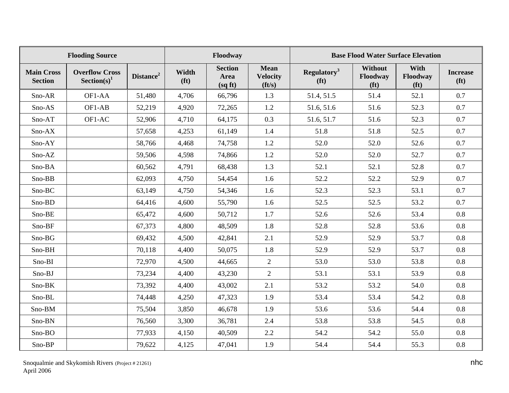|                                     | <b>Flooding Source</b>                  |                       |                            | Floodway                         |                                                  |                                              |                                                 | <b>Base Flood Water Surface Elevation</b> |                                      |
|-------------------------------------|-----------------------------------------|-----------------------|----------------------------|----------------------------------|--------------------------------------------------|----------------------------------------------|-------------------------------------------------|-------------------------------------------|--------------------------------------|
| <b>Main Cross</b><br><b>Section</b> | <b>Overflow Cross</b><br>$Section(s)^1$ | Distance <sup>2</sup> | Width<br>(f <sup>t</sup> ) | <b>Section</b><br>Area<br>(sqft) | <b>Mean</b><br><b>Velocity</b><br>$({\bf ft/s})$ | Regulatory <sup>3</sup><br>(f <sup>t</sup> ) | <b>Without</b><br>Floodway<br>(f <sup>t</sup> ) | With<br>Floodway<br>(f <sup>t</sup> )     | <b>Increase</b><br>(f <sup>t</sup> ) |
| Sno-AR                              | OF1-AA                                  | 51,480                | 4,706                      | 66,796                           | 1.3                                              | 51.4, 51.5                                   | 51.4                                            | 52.1                                      | 0.7                                  |
| Sno-AS                              | OF1-AB                                  | 52,219                | 4,920                      | 72,265                           | 1.2                                              | 51.6, 51.6                                   | 51.6                                            | 52.3                                      | 0.7                                  |
| Sno-AT                              | OF1-AC                                  | 52,906                | 4,710                      | 64,175                           | 0.3                                              | 51.6, 51.7                                   | 51.6                                            | 52.3                                      | 0.7                                  |
| Sno-AX                              |                                         | 57,658                | 4,253                      | 61,149                           | 1.4                                              | 51.8                                         | 51.8                                            | 52.5                                      | 0.7                                  |
| Sno-AY                              |                                         | 58,766                | 4,468                      | 74,758                           | 1.2                                              | 52.0                                         | 52.0                                            | 52.6                                      | 0.7                                  |
| Sno-AZ                              |                                         | 59,506                | 4,598                      | 74,866                           | 1.2                                              | 52.0                                         | 52.0                                            | 52.7                                      | 0.7                                  |
| Sno-BA                              |                                         | 60,562                | 4,791                      | 68,438                           | 1.3                                              | 52.1                                         | 52.1                                            | 52.8                                      | 0.7                                  |
| Sno-BB                              |                                         | 62,093                | 4,750                      | 54,454                           | 1.6                                              | 52.2                                         | 52.2                                            | 52.9                                      | 0.7                                  |
| Sno-BC                              |                                         | 63,149                | 4,750                      | 54,346                           | 1.6                                              | 52.3                                         | 52.3                                            | 53.1                                      | 0.7                                  |
| Sno-BD                              |                                         | 64,416                | 4,600                      | 55,790                           | 1.6                                              | 52.5                                         | 52.5                                            | 53.2                                      | 0.7                                  |
| Sno-BE                              |                                         | 65,472                | 4,600                      | 50,712                           | 1.7                                              | 52.6                                         | 52.6                                            | 53.4                                      | 0.8                                  |
| Sno-BF                              |                                         | 67,373                | 4,800                      | 48,509                           | 1.8                                              | 52.8                                         | 52.8                                            | 53.6                                      | 0.8                                  |
| $Sno-BG$                            |                                         | 69,432                | 4,500                      | 42,841                           | 2.1                                              | 52.9                                         | 52.9                                            | 53.7                                      | 0.8                                  |
| Sno-BH                              |                                         | 70,118                | 4,400                      | 50,075                           | 1.8                                              | 52.9                                         | 52.9                                            | 53.7                                      | $0.8\,$                              |
| Sno-BI                              |                                         | 72,970                | 4,500                      | 44,665                           | $\overline{2}$                                   | 53.0                                         | 53.0                                            | 53.8                                      | 0.8                                  |
| Sno-BJ                              |                                         | 73,234                | 4,400                      | 43,230                           | $\overline{2}$                                   | 53.1                                         | 53.1                                            | 53.9                                      | 0.8                                  |
| Sno-BK                              |                                         | 73,392                | 4,400                      | 43,002                           | 2.1                                              | 53.2                                         | 53.2                                            | 54.0                                      | 0.8                                  |
| Sno-BL                              |                                         | 74,448                | 4,250                      | 47,323                           | 1.9                                              | 53.4                                         | 53.4                                            | 54.2                                      | 0.8                                  |
| Sno-BM                              |                                         | 75,504                | 3,850                      | 46,678                           | 1.9                                              | 53.6                                         | 53.6                                            | 54.4                                      | 0.8                                  |
| Sno-BN                              |                                         | 76,560                | 3,300                      | 36,781                           | 2.4                                              | 53.8                                         | 53.8                                            | 54.5                                      | 0.8                                  |
| Sno-BO                              |                                         | 77,933                | 4,150                      | 40,509                           | 2.2                                              | 54.2                                         | 54.2                                            | 55.0                                      | 0.8                                  |
| Sno-BP                              |                                         | 79,622                | 4,125                      | 47,041                           | 1.9                                              | 54.4                                         | 54.4                                            | 55.3                                      | 0.8                                  |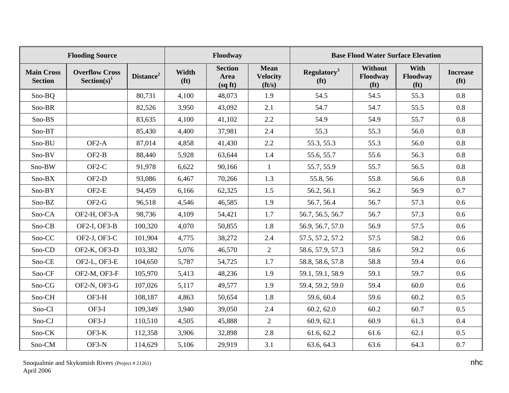|                                     | <b>Flooding Source</b>                           |                       |                            | Floodway                         |                                                  |                                              |                                          | <b>Base Flood Water Surface Elevation</b> |                                      |
|-------------------------------------|--------------------------------------------------|-----------------------|----------------------------|----------------------------------|--------------------------------------------------|----------------------------------------------|------------------------------------------|-------------------------------------------|--------------------------------------|
| <b>Main Cross</b><br><b>Section</b> | <b>Overflow Cross</b><br>Section(s) <sup>1</sup> | Distance <sup>2</sup> | Width<br>(f <sup>t</sup> ) | <b>Section</b><br>Area<br>(sqft) | <b>Mean</b><br><b>Velocity</b><br>$({\bf ft/s})$ | Regulatory <sup>3</sup><br>(f <sup>t</sup> ) | Without<br>Floodway<br>(f <sup>t</sup> ) | With<br>Floodway<br>(f <sup>t</sup> )     | <b>Increase</b><br>(f <sup>t</sup> ) |
| $Sno-BQ$                            |                                                  | 80,731                | 4,100                      | 48,073                           | 1.9                                              | 54.5                                         | 54.5                                     | 55.3                                      | 0.8                                  |
| Sno-BR                              |                                                  | 82,526                | 3,950                      | 43,092                           | 2.1                                              | 54.7                                         | 54.7                                     | 55.5                                      | 0.8                                  |
| Sno-BS                              |                                                  | 83,635                | 4,100                      | 41,102                           | 2.2                                              | 54.9                                         | 54.9                                     | 55.7                                      | 0.8                                  |
| Sno-BT                              |                                                  | 85,430                | 4,400                      | 37,981                           | 2.4                                              | 55.3                                         | 55.3                                     | 56.0                                      | 0.8                                  |
| Sno-BU                              | OF <sub>2</sub> -A                               | 87,014                | 4,858                      | 41,430                           | 2.2                                              | 55.3, 55.3                                   | 55.3                                     | 56.0                                      | 0.8                                  |
| Sno-BV                              | $OF2-B$                                          | 88,440                | 5,928                      | 63,644                           | 1.4                                              | 55.6, 55.7                                   | 55.6                                     | 56.3                                      | 0.8                                  |
| Sno-BW                              | OF <sub>2</sub> -C                               | 91,978                | 6,622                      | 90,166                           | $\mathbf{1}$                                     | 55.7, 55.9                                   | 55.7                                     | 56.5                                      | 0.8                                  |
| Sno-BX                              | OF <sub>2</sub> -D                               | 93,086                | 6,467                      | 70,266                           | 1.3                                              | 55.8, 56                                     | 55.8                                     | 56.6                                      | 0.8                                  |
| $Sno-BY$                            | $OF2-E$                                          | 94,459                | 6,166                      | 62,325                           | 1.5                                              | 56.2, 56.1                                   | 56.2                                     | 56.9                                      | 0.7                                  |
| Sno-BZ                              | OF2-G                                            | 96,518                | 4,546                      | 46,585                           | 1.9                                              | 56.7, 56.4                                   | 56.7                                     | 57.3                                      | 0.6                                  |
| Sno-CA                              | OF2-H, OF3-A                                     | 98,736                | 4,109                      | 54,421                           | 1.7                                              | 56.7, 56.5, 56.7                             | 56.7                                     | 57.3                                      | 0.6                                  |
| Sno-CB                              | OF2-I, OF3-B                                     | 100,320               | 4,070                      | 50,855                           | 1.8                                              | 56.9, 56.7, 57.0                             | 56.9                                     | 57.5                                      | 0.6                                  |
| Sno-CC                              | OF2-J, OF3-C                                     | 101,904               | 4,775                      | 38,272                           | 2.4                                              | 57.5, 57.2, 57.2                             | 57.5                                     | 58.2                                      | 0.6                                  |
| Sno-CD                              | OF2-K, OF3-D                                     | 103,382               | 5,076                      | 46,570                           | $\overline{2}$                                   | 58.6, 57.9, 57.3                             | 58.6                                     | 59.2                                      | 0.6                                  |
| Sno-CE                              | OF2-L, OF3-E                                     | 104,650               | 5,787                      | 54,725                           | 1.7                                              | 58.8, 58.6, 57.8                             | 58.8                                     | 59.4                                      | 0.6                                  |
| Sno-CF                              | OF2-M, OF3-F                                     | 105,970               | 5,413                      | 48,236                           | 1.9                                              | 59.1, 59.1, 58.9                             | 59.1                                     | 59.7                                      | 0.6                                  |
| Sno-CG                              | OF2-N, OF3-G                                     | 107,026               | 5,117                      | 49,577                           | 1.9                                              | 59.4, 59.2, 59.0                             | 59.4                                     | 60.0                                      | 0.6                                  |
| Sno-CH                              | OF3-H                                            | 108,187               | 4,863                      | 50,654                           | 1.8                                              | 59.6, 60.4                                   | 59.6                                     | 60.2                                      | 0.5                                  |
| Sno-CI                              | $OF3-I$                                          | 109,349               | 3,940                      | 39,050                           | 2.4                                              | 60.2, 62.0                                   | 60.2                                     | 60.7                                      | 0.5                                  |
| Sno-CJ                              | OF3-J                                            | 110,510               | 4,505                      | 45,888                           | $\overline{2}$                                   | 60.9, 62.1                                   | 60.9                                     | 61.3                                      | 0.4                                  |
| Sno-CK                              | $OF3-K$                                          | 112,358               | 3,906                      | 32,898                           | 2.8                                              | 61.6, 62.2                                   | 61.6                                     | 62.1                                      | 0.5                                  |
| Sno-CM                              | OF3-N                                            | 114,629               | 5,106                      | 29,919                           | 3.1                                              | 63.6, 64.3                                   | 63.6                                     | 64.3                                      | 0.7                                  |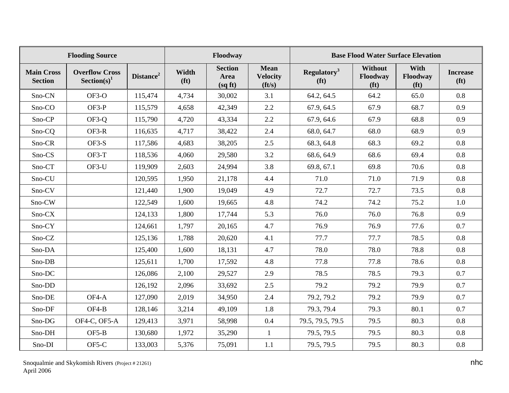|                                     | <b>Flooding Source</b>                           |                       |                            | Floodway                          |                                                  |                                                     |                                                 | <b>Base Flood Water Surface Elevation</b> |                                      |
|-------------------------------------|--------------------------------------------------|-----------------------|----------------------------|-----------------------------------|--------------------------------------------------|-----------------------------------------------------|-------------------------------------------------|-------------------------------------------|--------------------------------------|
| <b>Main Cross</b><br><b>Section</b> | <b>Overflow Cross</b><br>Section(s) <sup>1</sup> | Distance <sup>2</sup> | Width<br>(f <sup>t</sup> ) | <b>Section</b><br>Area<br>(sq ft) | <b>Mean</b><br><b>Velocity</b><br>$({\bf ft/s})$ | <b>Regulatory</b> <sup>3</sup><br>(f <sup>t</sup> ) | <b>Without</b><br>Floodway<br>(f <sup>t</sup> ) | With<br>Floodway<br>(f <sup>t</sup> )     | <b>Increase</b><br>(f <sup>t</sup> ) |
| Sno-CN                              | OF3-O                                            | 115,474               | 4,734                      | 30,002                            | 3.1                                              | 64.2, 64.5                                          | 64.2                                            | 65.0                                      | 0.8                                  |
| Sno-CO                              | OF3-P                                            | 115,579               | 4,658                      | 42,349                            | 2.2                                              | 67.9, 64.5                                          | 67.9                                            | 68.7                                      | 0.9                                  |
| Sno-CP                              | OF3-Q                                            | 115,790               | 4,720                      | 43,334                            | 2.2                                              | 67.9, 64.6                                          | 67.9                                            | 68.8                                      | 0.9                                  |
| Sno-CQ                              | OF3-R                                            | 116,635               | 4,717                      | 38,422                            | 2.4                                              | 68.0, 64.7                                          | 68.0                                            | 68.9                                      | 0.9                                  |
| Sno-CR                              | $OF3-S$                                          | 117,586               | 4,683                      | 38,205                            | 2.5                                              | 68.3, 64.8                                          | 68.3                                            | 69.2                                      | 0.8                                  |
| Sno-CS                              | OF3-T                                            | 118,536               | 4,060                      | 29,580                            | 3.2                                              | 68.6, 64.9                                          | 68.6                                            | 69.4                                      | 0.8                                  |
| Sno-CT                              | OF3-U                                            | 119,909               | 2,603                      | 24,994                            | 3.8                                              | 69.8, 67.1                                          | 69.8                                            | 70.6                                      | 0.8                                  |
| Sno-CU                              |                                                  | 120,595               | 1,950                      | 21,178                            | 4.4                                              | 71.0                                                | 71.0                                            | 71.9                                      | 0.8                                  |
| Sno-CV                              |                                                  | 121,440               | 1,900                      | 19,049                            | 4.9                                              | 72.7                                                | 72.7                                            | 73.5                                      | 0.8                                  |
| Sno-CW                              |                                                  | 122,549               | 1,600                      | 19,665                            | 4.8                                              | 74.2                                                | 74.2                                            | 75.2                                      | 1.0                                  |
| Sno-CX                              |                                                  | 124,133               | 1,800                      | 17,744                            | 5.3                                              | 76.0                                                | 76.0                                            | 76.8                                      | 0.9                                  |
| Sno-CY                              |                                                  | 124,661               | 1,797                      | 20,165                            | 4.7                                              | 76.9                                                | 76.9                                            | 77.6                                      | 0.7                                  |
| Sno-CZ                              |                                                  | 125,136               | 1,788                      | 20,620                            | 4.1                                              | 77.7                                                | 77.7                                            | 78.5                                      | 0.8                                  |
| Sno-DA                              |                                                  | 125,400               | 1,600                      | 18,131                            | 4.7                                              | 78.0                                                | 78.0                                            | 78.8                                      | 0.8                                  |
| Sno-DB                              |                                                  | 125,611               | 1,700                      | 17,592                            | 4.8                                              | 77.8                                                | 77.8                                            | 78.6                                      | 0.8                                  |
| Sno-DC                              |                                                  | 126,086               | 2,100                      | 29,527                            | 2.9                                              | 78.5                                                | 78.5                                            | 79.3                                      | 0.7                                  |
| Sno-DD                              |                                                  | 126,192               | 2,096                      | 33,692                            | 2.5                                              | 79.2                                                | 79.2                                            | 79.9                                      | 0.7                                  |
| Sno-DE                              | OF4-A                                            | 127,090               | 2,019                      | 34,950                            | 2.4                                              | 79.2, 79.2                                          | 79.2                                            | 79.9                                      | 0.7                                  |
| Sno-DF                              | OF4-B                                            | 128,146               | 3,214                      | 49,109                            | 1.8                                              | 79.3, 79.4                                          | 79.3                                            | 80.1                                      | 0.7                                  |
| Sno-DG                              | OF4-C, OF5-A                                     | 129,413               | 3,971                      | 58,998                            | 0.4                                              | 79.5, 79.5, 79.5                                    | 79.5                                            | 80.3                                      | 0.8                                  |
| Sno-DH                              | $OF5-B$                                          | 130,680               | 1,972                      | 35,290                            | $\mathbf{1}$                                     | 79.5, 79.5                                          | 79.5                                            | 80.3                                      | 0.8                                  |
| Sno-DI                              | OF5-C                                            | 133,003               | 5,376                      | 75,091                            | 1.1                                              | 79.5, 79.5                                          | 79.5                                            | 80.3                                      | 0.8                                  |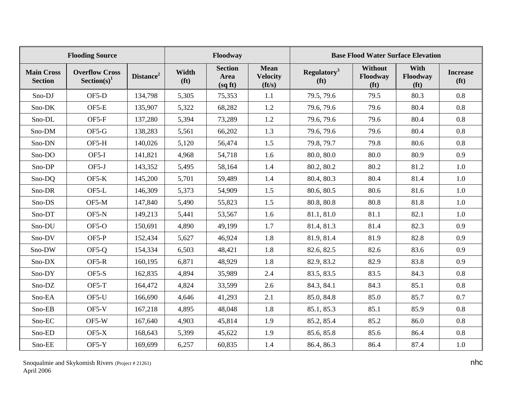|                                     | <b>Flooding Source</b>                           | Floodway              |                            |                                  | <b>Base Flood Water Surface Elevation</b>        |                                              |                                                 |                                       |                                      |
|-------------------------------------|--------------------------------------------------|-----------------------|----------------------------|----------------------------------|--------------------------------------------------|----------------------------------------------|-------------------------------------------------|---------------------------------------|--------------------------------------|
| <b>Main Cross</b><br><b>Section</b> | <b>Overflow Cross</b><br>Section(s) <sup>1</sup> | Distance <sup>2</sup> | Width<br>(f <sup>t</sup> ) | <b>Section</b><br>Area<br>(sqft) | <b>Mean</b><br><b>Velocity</b><br>$({\bf ft/s})$ | Regulatory <sup>3</sup><br>(f <sup>t</sup> ) | <b>Without</b><br>Floodway<br>(f <sup>t</sup> ) | With<br>Floodway<br>(f <sup>t</sup> ) | <b>Increase</b><br>(f <sup>t</sup> ) |
| Sno-DJ                              | OF5-D                                            | 134,798               | 5,305                      | 75,353                           | 1.1                                              | 79.5, 79.6                                   | 79.5                                            | 80.3                                  | 0.8                                  |
| Sno-DK                              | OF5-E                                            | 135,907               | 5,322                      | 68,282                           | 1.2                                              | 79.6, 79.6                                   | 79.6                                            | 80.4                                  | 0.8                                  |
| Sno-DL                              | OF5-F                                            | 137,280               | 5,394                      | 73,289                           | 1.2                                              | 79.6, 79.6                                   | 79.6                                            | 80.4                                  | 0.8                                  |
| Sno-DM                              | OF5-G                                            | 138,283               | 5,561                      | 66,202                           | 1.3                                              | 79.6, 79.6                                   | 79.6                                            | 80.4                                  | 0.8                                  |
| Sno-DN                              | OF5-H                                            | 140,026               | 5,120                      | 56,474                           | 1.5                                              | 79.8, 79.7                                   | 79.8                                            | 80.6                                  | 0.8                                  |
| Sno-DO                              | OF5-I                                            | 141,821               | 4,968                      | 54,718                           | 1.6                                              | 80.0, 80.0                                   | 80.0                                            | 80.9                                  | 0.9                                  |
| Sno-DP                              | OF5-J                                            | 143,352               | 5,495                      | 58,164                           | 1.4                                              | 80.2, 80.2                                   | 80.2                                            | 81.2                                  | 1.0                                  |
| Sno-DQ                              | $OF5-K$                                          | 145,200               | 5,701                      | 59,489                           | 1.4                                              | 80.4, 80.3                                   | 80.4                                            | 81.4                                  | 1.0                                  |
| Sno-DR                              | OF5-L                                            | 146,309               | 5,373                      | 54,909                           | 1.5                                              | 80.6, 80.5                                   | 80.6                                            | 81.6                                  | 1.0                                  |
| Sno-DS                              | OF5-M                                            | 147,840               | 5,490                      | 55,823                           | 1.5                                              | 80.8, 80.8                                   | 80.8                                            | 81.8                                  | 1.0                                  |
| Sno-DT                              | OF5-N                                            | 149,213               | 5,441                      | 53,567                           | 1.6                                              | 81.1, 81.0                                   | 81.1                                            | 82.1                                  | 1.0                                  |
| Sno-DU                              | $OF5-O$                                          | 150,691               | 4,890                      | 49,199                           | 1.7                                              | 81.4, 81.3                                   | 81.4                                            | 82.3                                  | 0.9                                  |
| Sno-DV                              | OF5-P                                            | 152,434               | 5,627                      | 46,924                           | 1.8                                              | 81.9, 81.4                                   | 81.9                                            | 82.8                                  | 0.9                                  |
| Sno-DW                              | OF5-Q                                            | 154,334               | 6,503                      | 48,421                           | 1.8                                              | 82.6, 82.5                                   | 82.6                                            | 83.6                                  | 0.9                                  |
| Sno-DX                              | OF5-R                                            | 160,195               | 6,871                      | 48,929                           | 1.8                                              | 82.9, 83.2                                   | 82.9                                            | 83.8                                  | 0.9                                  |
| Sno-DY                              | $OF5-S$                                          | 162,835               | 4,894                      | 35,989                           | 2.4                                              | 83.5, 83.5                                   | 83.5                                            | 84.3                                  | 0.8                                  |
| Sno-DZ                              | OF5-T                                            | 164,472               | 4,824                      | 33,599                           | 2.6                                              | 84.3, 84.1                                   | 84.3                                            | 85.1                                  | 0.8                                  |
| Sno-EA                              | OF5-U                                            | 166,690               | 4,646                      | 41,293                           | 2.1                                              | 85.0, 84.8                                   | 85.0                                            | 85.7                                  | 0.7                                  |
| Sno-EB                              | $OF5-V$                                          | 167,218               | 4,895                      | 48,048                           | 1.8                                              | 85.1, 85.3                                   | 85.1                                            | 85.9                                  | 0.8                                  |
| Sno-EC                              | OF5-W                                            | 167,640               | 4,903                      | 45,814                           | 1.9                                              | 85.2, 85.4                                   | 85.2                                            | 86.0                                  | 0.8                                  |
| Sno-ED                              | $OF5-X$                                          | 168,643               | 5,399                      | 45,622                           | 1.9                                              | 85.6, 85.8                                   | 85.6                                            | 86.4                                  | 0.8                                  |
| Sno-EE                              | $OF5-Y$                                          | 169,699               | 6,257                      | 60,835                           | 1.4                                              | 86.4, 86.3                                   | 86.4                                            | 87.4                                  | 1.0                                  |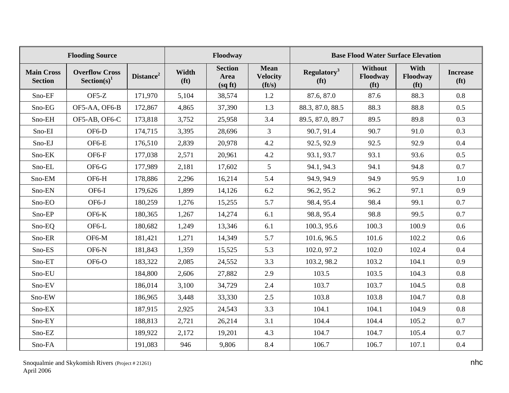|                                     | <b>Flooding Source</b>                  | Floodway              |                            |                                   | <b>Base Flood Water Surface Elevation</b>        |                                              |                                                 |                                       |                                      |
|-------------------------------------|-----------------------------------------|-----------------------|----------------------------|-----------------------------------|--------------------------------------------------|----------------------------------------------|-------------------------------------------------|---------------------------------------|--------------------------------------|
| <b>Main Cross</b><br><b>Section</b> | <b>Overflow Cross</b><br>$Section(s)^1$ | Distance <sup>2</sup> | Width<br>(f <sup>t</sup> ) | <b>Section</b><br>Area<br>(sq ft) | <b>Mean</b><br><b>Velocity</b><br>$({\bf ft/s})$ | Regulatory <sup>3</sup><br>(f <sup>t</sup> ) | <b>Without</b><br>Floodway<br>(f <sup>t</sup> ) | With<br>Floodway<br>(f <sup>t</sup> ) | <b>Increase</b><br>(f <sup>t</sup> ) |
| Sno-EF                              | $OF5-Z$                                 | 171,970               | 5,104                      | 38,574                            | 1.2                                              | 87.6, 87.0                                   | 87.6                                            | 88.3                                  | 0.8                                  |
| Sno-EG                              | OF5-AA, OF6-B                           | 172,867               | 4,865                      | 37,390                            | 1.3                                              | 88.3, 87.0, 88.5                             | 88.3                                            | 88.8                                  | 0.5                                  |
| Sno-EH                              | OF5-AB, OF6-C                           | 173,818               | 3,752                      | 25,958                            | 3.4                                              | 89.5, 87.0, 89.7                             | 89.5                                            | 89.8                                  | 0.3                                  |
| Sno-EI                              | OF6-D                                   | 174,715               | 3,395                      | 28,696                            | $\overline{3}$                                   | 90.7, 91.4                                   | 90.7                                            | 91.0                                  | 0.3                                  |
| Sno-EJ                              | OF6-E                                   | 176,510               | 2,839                      | 20,978                            | 4.2                                              | 92.5, 92.9                                   | 92.5                                            | 92.9                                  | 0.4                                  |
| Sno-EK                              | OF6-F                                   | 177,038               | 2,571                      | 20,961                            | 4.2                                              | 93.1, 93.7                                   | 93.1                                            | 93.6                                  | 0.5                                  |
| Sno-EL                              | OF6-G                                   | 177,989               | 2,181                      | 17,602                            | 5                                                | 94.1, 94.3                                   | 94.1                                            | 94.8                                  | 0.7                                  |
| Sno-EM                              | OF6-H                                   | 178,886               | 2,296                      | 16,214                            | 5.4                                              | 94.9, 94.9                                   | 94.9                                            | 95.9                                  | 1.0                                  |
| Sno-EN                              | OF6-I                                   | 179,626               | 1,899                      | 14,126                            | 6.2                                              | 96.2, 95.2                                   | 96.2                                            | 97.1                                  | 0.9                                  |
| Sno-EO                              | OF6-J                                   | 180,259               | 1,276                      | 15,255                            | 5.7                                              | 98.4, 95.4                                   | 98.4                                            | 99.1                                  | 0.7                                  |
| Sno-EP                              | $OF6-K$                                 | 180,365               | 1,267                      | 14,274                            | 6.1                                              | 98.8, 95.4                                   | 98.8                                            | 99.5                                  | 0.7                                  |
| Sno-EQ                              | OF6-L                                   | 180,682               | 1,249                      | 13,346                            | 6.1                                              | 100.3, 95.6                                  | 100.3                                           | 100.9                                 | 0.6                                  |
| Sno-ER                              | OF6-M                                   | 181,421               | 1,271                      | 14,349                            | 5.7                                              | 101.6, 96.5                                  | 101.6                                           | 102.2                                 | 0.6                                  |
| Sno-ES                              | OF6-N                                   | 181,843               | 1,359                      | 15,525                            | 5.3                                              | 102.0, 97.2                                  | 102.0                                           | 102.4                                 | 0.4                                  |
| Sno-ET                              | OF6-O                                   | 183,322               | 2,085                      | 24,552                            | 3.3                                              | 103.2, 98.2                                  | 103.2                                           | 104.1                                 | 0.9                                  |
| Sno-EU                              |                                         | 184,800               | 2,606                      | 27,882                            | 2.9                                              | 103.5                                        | 103.5                                           | 104.3                                 | 0.8                                  |
| Sno-EV                              |                                         | 186,014               | 3,100                      | 34,729                            | 2.4                                              | 103.7                                        | 103.7                                           | 104.5                                 | 0.8                                  |
| Sno-EW                              |                                         | 186,965               | 3,448                      | 33,330                            | 2.5                                              | 103.8                                        | 103.8                                           | 104.7                                 | 0.8                                  |
| Sno-EX                              |                                         | 187,915               | 2,925                      | 24,543                            | 3.3                                              | 104.1                                        | 104.1                                           | 104.9                                 | 0.8                                  |
| Sno-EY                              |                                         | 188,813               | 2,721                      | 26,214                            | 3.1                                              | 104.4                                        | 104.4                                           | 105.2                                 | 0.7                                  |
| Sno-EZ                              |                                         | 189,922               | 2,172                      | 19,201                            | 4.3                                              | 104.7                                        | 104.7                                           | 105.4                                 | 0.7                                  |
| Sno-FA                              |                                         | 191,083               | 946                        | 9,806                             | 8.4                                              | 106.7                                        | 106.7                                           | 107.1                                 | 0.4                                  |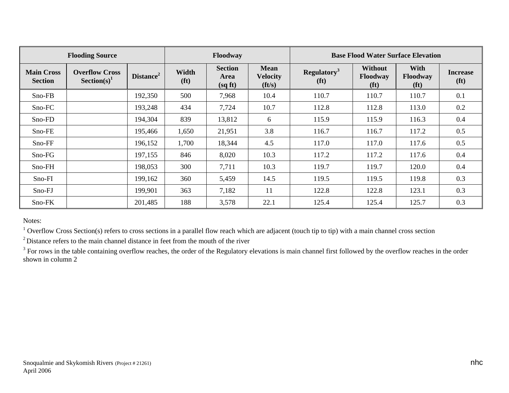|                                     | <b>Flooding Source</b>                  | Floodway              |                            |                                  | <b>Base Flood Water Surface Elevation</b>        |                                              |                                                        |                                              |                                      |
|-------------------------------------|-----------------------------------------|-----------------------|----------------------------|----------------------------------|--------------------------------------------------|----------------------------------------------|--------------------------------------------------------|----------------------------------------------|--------------------------------------|
| <b>Main Cross</b><br><b>Section</b> | <b>Overflow Cross</b><br>$Section(s)^1$ | Distance <sup>2</sup> | Width<br>(f <sup>t</sup> ) | <b>Section</b><br>Area<br>(sqft) | <b>Mean</b><br><b>Velocity</b><br>$({\bf ft/s})$ | Regulatory <sup>3</sup><br>(f <sup>t</sup> ) | <b>Without</b><br><b>Floodway</b><br>(f <sup>t</sup> ) | <b>With</b><br>Floodway<br>(f <sup>t</sup> ) | <b>Increase</b><br>(f <sup>t</sup> ) |
| Sno-FB                              |                                         | 192,350               | 500                        | 7,968                            | 10.4                                             | 110.7                                        | 110.7                                                  | 110.7                                        | 0.1                                  |
| Sno-FC                              |                                         | 193,248               | 434                        | 7,724                            | 10.7                                             | 112.8                                        | 112.8                                                  | 113.0                                        | 0.2                                  |
| Sno-FD                              |                                         | 194,304               | 839                        | 13,812                           | 6                                                | 115.9                                        | 115.9                                                  | 116.3                                        | 0.4                                  |
| Sno-FE                              |                                         | 195,466               | 1,650                      | 21,951                           | 3.8                                              | 116.7                                        | 116.7                                                  | 117.2                                        | 0.5                                  |
| Sno-FF                              |                                         | 196,152               | 1,700                      | 18,344                           | 4.5                                              | 117.0                                        | 117.0                                                  | 117.6                                        | 0.5                                  |
| Sno-FG                              |                                         | 197,155               | 846                        | 8,020                            | 10.3                                             | 117.2                                        | 117.2                                                  | 117.6                                        | 0.4                                  |
| $Sno-FH$                            |                                         | 198,053               | 300                        | 7,711                            | 10.3                                             | 119.7                                        | 119.7                                                  | 120.0                                        | 0.4                                  |
| $Sno-FI$                            |                                         | 199,162               | 360                        | 5,459                            | 14.5                                             | 119.5                                        | 119.5                                                  | 119.8                                        | 0.3                                  |
| Sno-FJ                              |                                         | 199,901               | 363                        | 7,182                            | 11                                               | 122.8                                        | 122.8                                                  | 123.1                                        | 0.3                                  |
| Sno-FK                              |                                         | 201,485               | 188                        | 3,578                            | 22.1                                             | 125.4                                        | 125.4                                                  | 125.7                                        | 0.3                                  |

Notes:

<sup>1</sup> Overflow Cross Section(s) refers to cross sections in a parallel flow reach which are adjacent (touch tip to tip) with a main channel cross section

 $2^2$ Distance refers to the main channel distance in feet from the mouth of the river

<sup>3</sup> For rows in the table containing overflow reaches, the order of the Regulatory elevations is main channel first followed by the overflow reaches in the order shown in column 2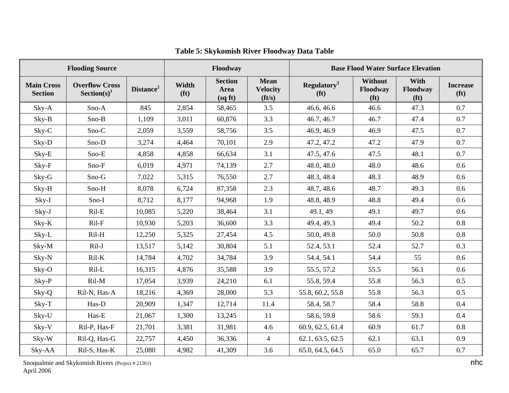|                                     | <b>Flooding Source</b>                  |                       | Floodway                   |                                   | <b>Base Flood Water Surface Elevation</b>        |                                              |                                          |                                       |                                      |
|-------------------------------------|-----------------------------------------|-----------------------|----------------------------|-----------------------------------|--------------------------------------------------|----------------------------------------------|------------------------------------------|---------------------------------------|--------------------------------------|
| <b>Main Cross</b><br><b>Section</b> | <b>Overflow Cross</b><br>$Section(s)^1$ | Distance <sup>2</sup> | Width<br>(f <sup>t</sup> ) | <b>Section</b><br>Area<br>(sq ft) | <b>Mean</b><br><b>Velocity</b><br>$({\bf ft/s})$ | Regulatory <sup>3</sup><br>(f <sup>t</sup> ) | Without<br>Floodway<br>(f <sup>t</sup> ) | With<br>Floodway<br>(f <sup>t</sup> ) | <b>Increase</b><br>(f <sup>t</sup> ) |
| Sky-A                               | Sno-A                                   | 845                   | 2,854                      | 58,465                            | 3.5                                              | 46.6, 46.6                                   | 46.6                                     | 47.3                                  | 0.7                                  |
| Sky-B                               | Sno-B                                   | 1,109                 | 3,011                      | 60,876                            | 3.3                                              | 46.7, 46.7                                   | 46.7                                     | 47.4                                  | 0.7                                  |
| Sky-C                               | Sno-C                                   | 2,059                 | 3,559                      | 58,756                            | 3.5                                              | 46.9, 46.9                                   | 46.9                                     | 47.5                                  | 0.7                                  |
| Sky-D                               | Sno-D                                   | 3,274                 | 4,464                      | 70,101                            | 2.9                                              | 47.2, 47.2                                   | 47.2                                     | 47.9                                  | 0.7                                  |
| Sky-E                               | Sno-E                                   | 4,858                 | 4,858                      | 66,634                            | 3.1                                              | 47.5, 47.6                                   | 47.5                                     | 48.1                                  | 0.7                                  |
| Sky-F                               | Sno-F                                   | 6,019                 | 4,971                      | 74,139                            | 2.7                                              | 48.0, 48.0                                   | 48.0                                     | 48.6                                  | 0.6                                  |
| Sky-G                               | Sno-G                                   | 7,022                 | 5,315                      | 76,550                            | 2.7                                              | 48.3, 48.4                                   | 48.3                                     | 48.9                                  | 0.6                                  |
| Sky-H                               | Sno-H                                   | 8,078                 | 6,724                      | 87,358                            | 2.3                                              | 48.7, 48.6                                   | 48.7                                     | 49.3                                  | 0.6                                  |
| $Sky-I$                             | Sno-I                                   | 8,712                 | 8,177                      | 94,968                            | 1.9                                              | 48.8, 48.9                                   | 48.8                                     | 49.4                                  | 0.6                                  |
| Sky-J                               | $Ril-E$                                 | 10,085                | 5,220                      | 38,464                            | 3.1                                              | 49.1, 49                                     | 49.1                                     | 49.7                                  | 0.6                                  |
| Sky-K                               | Ril-F                                   | 10,930                | 5,203                      | 36,600                            | 3.3                                              | 49.4, 49.3                                   | 49.4                                     | 50.2                                  | 0.8                                  |
| Sky-L                               | Ril-H                                   | 12,250                | 5,325                      | 27,454                            | 4.5                                              | 50.0, 49.8                                   | 50.0                                     | 50.8                                  | 0.8                                  |
| Sky-M                               | Ril-J                                   | 13,517                | 5,142                      | 30,804                            | 5.1                                              | 52.4, 53.1                                   | 52.4                                     | 52.7                                  | 0.3                                  |
| Sky-N                               | $Ril-K$                                 | 14,784                | 4,702                      | 34,784                            | 3.9                                              | 54.4, 54.1                                   | 54.4                                     | 55                                    | 0.6                                  |
| Sky-O                               | Ril-L                                   | 16,315                | 4,876                      | 35,588                            | 3.9                                              | 55.5, 57.2                                   | 55.5                                     | 56.1                                  | 0.6                                  |
| Sky-P                               | $Ril-M$                                 | 17,054                | 3,939                      | 24,210                            | 6.1                                              | 55.8, 59.4                                   | 55.8                                     | 56.3                                  | 0.5                                  |
| Sky-Q                               | Ril-N, Has-A                            | 18,216                | 4,369                      | 28,000                            | 5.3                                              | 55.8, 60.2, 55.8                             | 55.8                                     | 56.3                                  | 0.5                                  |
| $Sky-T$                             | Has-D                                   | 20,909                | 1,347                      | 12,714                            | 11.4                                             | 58.4, 58.7                                   | 58.4                                     | 58.8                                  | 0.4                                  |
| Sky-U                               | Has-E                                   | 21,067                | 1,300                      | 13,245                            | 11                                               | 58.6, 59.8                                   | 58.6                                     | 59.1                                  | 0.4                                  |
| Sky-V                               | Ril-P, Has-F                            | 21,701                | 3,381                      | 31,981                            | 4.6                                              | 60.9, 62.5, 61.4                             | 60.9                                     | 61.7                                  | 0.8                                  |
| Sky-W                               | Ril-Q, Has-G                            | 22,757                | 4,450                      | 36,336                            | $\overline{4}$                                   | 62.1, 63.5, 62.5                             | 62.1                                     | 63.1                                  | 0.9                                  |
| Sky-AA                              | Ril-S, Has-K                            | 25,080                | 4,982                      | 41,309                            | 3.6                                              | 65.0, 64.5, 64.5                             | 65.0                                     | 65.7                                  | 0.7                                  |

# **Table 5: Skykomish River Floodway Data Table**

Snoqualmie and Skykomish Rivers (Project # 21261) nhc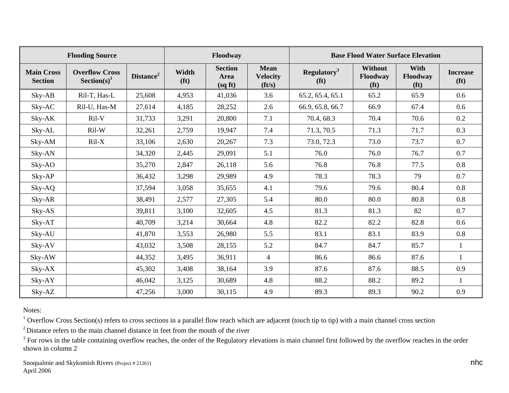|                                     | <b>Flooding Source</b>                  | Floodway              |                            |                                   | <b>Base Flood Water Surface Elevation</b>        |                                              |                                                 |                                              |                                      |
|-------------------------------------|-----------------------------------------|-----------------------|----------------------------|-----------------------------------|--------------------------------------------------|----------------------------------------------|-------------------------------------------------|----------------------------------------------|--------------------------------------|
| <b>Main Cross</b><br><b>Section</b> | <b>Overflow Cross</b><br>$Section(s)^1$ | Distance <sup>2</sup> | Width<br>(f <sup>t</sup> ) | <b>Section</b><br>Area<br>(sq ft) | <b>Mean</b><br><b>Velocity</b><br>$({\bf ft/s})$ | Regulatory <sup>3</sup><br>(f <sup>t</sup> ) | <b>Without</b><br>Floodway<br>(f <sup>t</sup> ) | <b>With</b><br>Floodway<br>(f <sup>t</sup> ) | <b>Increase</b><br>(f <sup>t</sup> ) |
| $Sky-AB$                            | Ril-T, Has-L                            | 25,608                | 4,953                      | 41,036                            | 3.6                                              | 65.2, 65.4, 65.1                             | 65.2                                            | 65.9                                         | 0.6                                  |
| Sky-AC                              | Ril-U, Has-M                            | 27,614                | 4,185                      | 28,252                            | 2.6                                              | 66.9, 65.8, 66.7                             | 66.9                                            | 67.4                                         | 0.6                                  |
| Sky-AK                              | Ril-V                                   | 31,733                | 3,291                      | 20,800                            | 7.1                                              | 70.4, 68.3                                   | 70.4                                            | 70.6                                         | 0.2                                  |
| Sky-AL                              | Ril-W                                   | 32,261                | 2,759                      | 19,947                            | 7.4                                              | 71.3, 70.5                                   | 71.3                                            | 71.7                                         | 0.3                                  |
| Sky-AM                              | $Ril-X$                                 | 33,106                | 2,630                      | 20,267                            | 7.3                                              | 73.0, 72.3                                   | 73.0                                            | 73.7                                         | 0.7                                  |
| Sky-AN                              |                                         | 34,320                | 2,445                      | 29,091                            | 5.1                                              | 76.0                                         | 76.0                                            | 76.7                                         | 0.7                                  |
| Sky-AO                              |                                         | 35,270                | 2,847                      | 26,118                            | 5.6                                              | 76.8                                         | 76.8                                            | 77.5                                         | 0.8                                  |
| Sky-AP                              |                                         | 36,432                | 3,298                      | 29,989                            | 4.9                                              | 78.3                                         | 78.3                                            | 79                                           | 0.7                                  |
| Sky-AQ                              |                                         | 37,594                | 3,058                      | 35,655                            | 4.1                                              | 79.6                                         | 79.6                                            | 80.4                                         | 0.8                                  |
| Sky-AR                              |                                         | 38,491                | 2,577                      | 27,305                            | 5.4                                              | 80.0                                         | 80.0                                            | 80.8                                         | 0.8                                  |
| Sky-AS                              |                                         | 39,811                | 3,100                      | 32,605                            | 4.5                                              | 81.3                                         | 81.3                                            | 82                                           | 0.7                                  |
| Sky-AT                              |                                         | 40,709                | 3,214                      | 30,664                            | 4.8                                              | 82.2                                         | 82.2                                            | 82.8                                         | 0.6                                  |
| Sky-AU                              |                                         | 41,870                | 3,553                      | 26,980                            | 5.5                                              | 83.1                                         | 83.1                                            | 83.9                                         | 0.8                                  |
| Sky-AV                              |                                         | 43,032                | 3,508                      | 28,155                            | 5.2                                              | 84.7                                         | 84.7                                            | 85.7                                         | $\mathbf{1}$                         |
| Sky-AW                              |                                         | 44,352                | 3,495                      | 36,911                            | $\overline{4}$                                   | 86.6                                         | 86.6                                            | 87.6                                         | $\mathbf{1}$                         |
| Sky-AX                              |                                         | 45,302                | 3,408                      | 38,164                            | 3.9                                              | 87.6                                         | 87.6                                            | 88.5                                         | 0.9                                  |
| Sky-AY                              |                                         | 46,042                | 3,125                      | 30,689                            | 4.8                                              | 88.2                                         | 88.2                                            | 89.2                                         |                                      |
| Sky-AZ                              |                                         | 47,256                | 3,000                      | 30,115                            | 4.9                                              | 89.3                                         | 89.3                                            | 90.2                                         | 0.9                                  |

Notes:

 $1$  Overflow Cross Section(s) refers to cross sections in a parallel flow reach which are adjacent (touch tip to tip) with a main channel cross section

 $2^2$  Distance refers to the main channel distance in feet from the mouth of the river

 $3$  For rows in the table containing overflow reaches, the order of the Regulatory elevations is main channel first followed by the overflow reaches in the order shown in column 2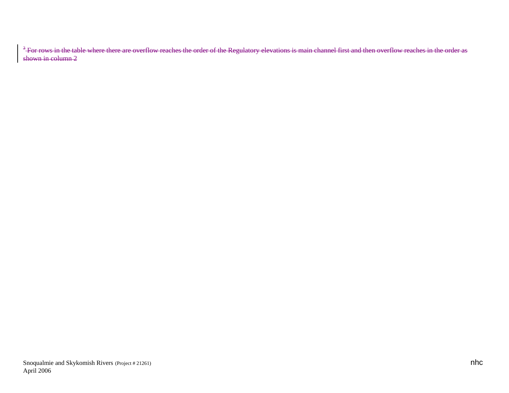$^3$  For rows in the table where there are overflow reaches the order of the Regulatory elevations is main channel first and then overflow reaches in the order as shown in column 2